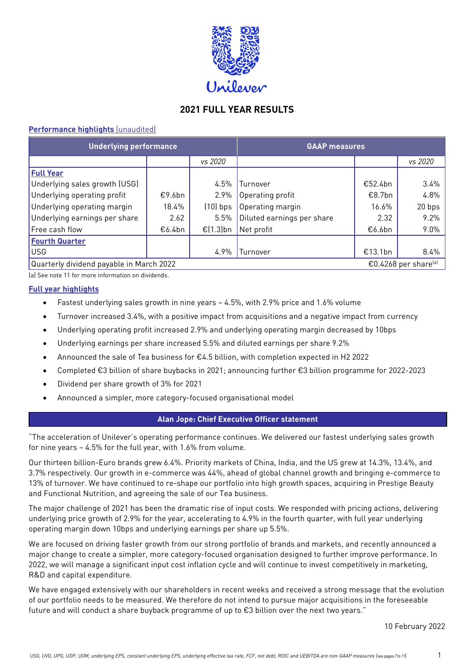

# **2021 FULL YEAR RESULTS**

# **Performance highlights** (unaudited)

| <b>Underlying performance</b>                                                |        |            | <b>GAAP measures</b>       |         |         |  |  |
|------------------------------------------------------------------------------|--------|------------|----------------------------|---------|---------|--|--|
|                                                                              |        | vs 2020    |                            |         | vs 2020 |  |  |
| <b>Full Year</b>                                                             |        |            |                            |         |         |  |  |
| Underlying sales growth (USG)                                                |        | 4.5%       | Turnover                   | €52.4bn | 3.4%    |  |  |
| Underlying operating profit                                                  | €9.6bn | 2.9%       | Operating profit           | €8.7bn  | 4.8%    |  |  |
| Underlying operating margin                                                  | 18.4%  | $(10)$ bps | Operating margin           | 16.6%   | 20 bps  |  |  |
| Underlying earnings per share                                                | 2.62   | 5.5%       | Diluted earnings per share | 2.32    | 9.2%    |  |  |
| Free cash flow                                                               | €6.4bn | €(1.3)bn   | Net profit                 | €6.6bn  | 9.0%    |  |  |
| <b>Fourth Quarter</b>                                                        |        |            |                            |         |         |  |  |
| USG                                                                          |        | 4.9%       | Turnover                   | €13.1bn | 8.4%    |  |  |
| €0.4268 per share <sup>[a]</sup><br>Quarterly dividend payable in March 2022 |        |            |                            |         |         |  |  |

(a) See note 11 for more information on dividends.

# **Full year highlights**

- Fastest underlying sales growth in nine years 4.5%, with 2.9% price and 1.6% volume
- Turnover increased 3.4%, with a positive impact from acquisitions and a negative impact from currency
- Underlying operating profit increased 2.9% and underlying operating margin decreased by 10bps
- Underlying earnings per share increased 5.5% and diluted earnings per share 9.2%
- Announced the sale of Tea business for  $E4.5$  billion, with completion expected in H2 2022
- Completed €3 billion of share buybacks in 2021; announcing further €3 billion programme for 2022-2023
- Dividend per share growth of 3% for 2021
- Announced a simpler, more category-focused organisational model

# **Alan Jope: Chief Executive Officer statement**

"The acceleration of Unilever's operating performance continues. We delivered our fastest underlying sales growth for nine years – 4.5% for the full year, with 1.6% from volume.

Our thirteen billion-Euro brands grew 6.4%. Priority markets of China, India, and the US grew at 14.3%, 13.4%, and 3.7% respectively. Our growth in e-commerce was 44%, ahead of global channel growth and bringing e-commerce to 13% of turnover. We have continued to re-shape our portfolio into high growth spaces, acquiring in Prestige Beauty and Functional Nutrition, and agreeing the sale of our Tea business.

The major challenge of 2021 has been the dramatic rise of input costs. We responded with pricing actions, delivering underlying price growth of 2.9% for the year, accelerating to 4.9% in the fourth quarter, with full year underlying operating margin down 10bps and underlying earnings per share up 5.5%.

We are focused on driving faster growth from our strong portfolio of brands and markets, and recently announced a major change to create a simpler, more category-focused organisation designed to further improve performance. In 2022, we will manage a significant input cost inflation cycle and will continue to invest competitively in marketing, R&D and capital expenditure.

We have engaged extensively with our shareholders in recent weeks and received a strong message that the evolution of our portfolio needs to be measured. We therefore do not intend to pursue major acquisitions in the foreseeable future and will conduct a share buyback programme of up to €3 billion over the next two years."

10 February 2022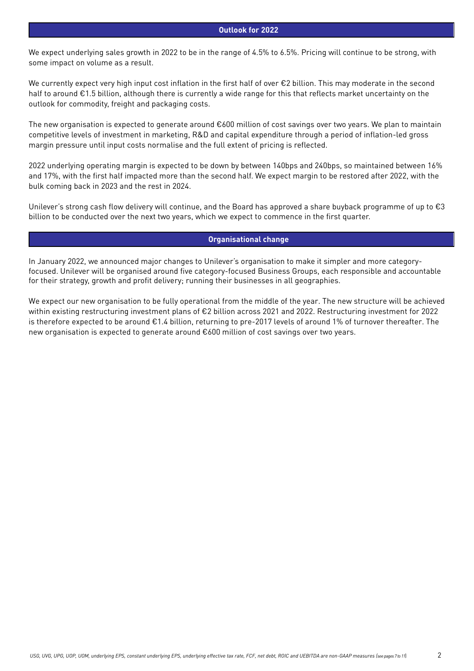We expect underlying sales growth in 2022 to be in the range of 4.5% to 6.5%. Pricing will continue to be strong, with some impact on volume as a result.

We currently expect very high input cost inflation in the first half of over €2 billion. This may moderate in the second half to around €1.5 billion, although there is currently a wide range for this that reflects market uncertainty on the outlook for commodity, freight and packaging costs.

The new organisation is expected to generate around €600 million of cost savings over two years. We plan to maintain competitive levels of investment in marketing, R&D and capital expenditure through a period of inflation-led gross margin pressure until input costs normalise and the full extent of pricing is reflected.

2022 underlying operating margin is expected to be down by between 140bps and 240bps, so maintained between 16% and 17%, with the first half impacted more than the second half. We expect margin to be restored after 2022, with the bulk coming back in 2023 and the rest in 2024.

Unilever's strong cash flow delivery will continue, and the Board has approved a share buyback programme of up to  $\epsilon$ 3 billion to be conducted over the next two years, which we expect to commence in the first quarter.

### **Organisational change**

In January 2022, we announced major changes to Unilever's organisation to make it simpler and more categoryfocused. Unilever will be organised around five category-focused Business Groups, each responsible and accountable for their strategy, growth and profit delivery; running their businesses in all geographies.

We expect our new organisation to be fully operational from the middle of the year. The new structure will be achieved within existing restructuring investment plans of €2 billion across 2021 and 2022. Restructuring investment for 2022 is therefore expected to be around €1.4 billion, returning to pre-2017 levels of around 1% of turnover thereafter. The new organisation is expected to generate around €600 million of cost savings over two years.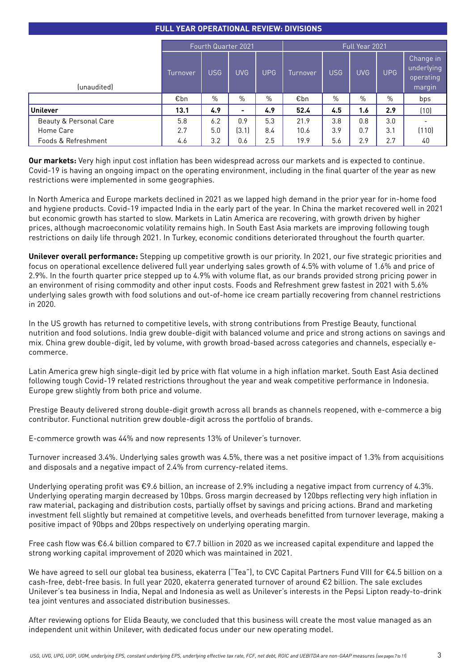|                        |          | <b>Fourth Quarter 2021</b> |                |               |          |            | Full Year 2021 |               |                                                |
|------------------------|----------|----------------------------|----------------|---------------|----------|------------|----------------|---------------|------------------------------------------------|
| (unaudited)            | Turnover | <b>USG</b>                 | <b>UVG</b>     | <b>UPG</b>    | Turnover | <b>USG</b> | <b>UVG</b>     | <b>UPG</b>    | Change in<br>underlying<br>operating<br>margin |
|                        | €bn      | $\frac{0}{0}$              | $\%$           | $\frac{0}{0}$ | €bn      | $\%$       | $\%$           | $\frac{0}{0}$ | bps                                            |
| <b>Unilever</b>        | 13.1     | 4.9                        | $\blacksquare$ | 4.9           | 52.4     | 4.5        | 1.6            | 2.9           | (10)                                           |
| Beauty & Personal Care | 5.8      | 6.2                        | 0.9            | 5.3           | 21.9     | 3.8        | 0.8            | 3.0           |                                                |
| Home Care              | 2.7      | 5.0                        | (3.1)          | 8.4           | 10.6     | 3.9        | 0.7            | 3.1           | (110)                                          |
| Foods & Refreshment    | 4.6      | 3.2                        | 0.6            | 2.5           | 19.9     | 5.6        | 2.9            | 2.7           | 40                                             |

# **FULL YEAR OPERATIONAL REVIEW: DIVISIONS**

**Our markets:** Very high input cost inflation has been widespread across our markets and is expected to continue. Covid-19 is having an ongoing impact on the operating environment, including in the final quarter of the year as new restrictions were implemented in some geographies.

In North America and Europe markets declined in 2021 as we lapped high demand in the prior year for in-home food and hygiene products. Covid-19 impacted India in the early part of the year. In China the market recovered well in 2021 but economic growth has started to slow. Markets in Latin America are recovering, with growth driven by higher prices, although macroeconomic volatility remains high. In South East Asia markets are improving following tough restrictions on daily life through 2021. In Turkey, economic conditions deteriorated throughout the fourth quarter.

**Unilever overall performance:** Stepping up competitive growth is our priority. In 2021, our five strategic priorities and focus on operational excellence delivered full year underlying sales growth of 4.5% with volume of 1.6% and price of 2.9%. In the fourth quarter price stepped up to 4.9% with volume flat, as our brands provided strong pricing power in an environment of rising commodity and other input costs. Foods and Refreshment grew fastest in 2021 with 5.6% underlying sales growth with food solutions and out-of-home ice cream partially recovering from channel restrictions in 2020.

In the US growth has returned to competitive levels, with strong contributions from Prestige Beauty, functional nutrition and food solutions. India grew double-digit with balanced volume and price and strong actions on savings and mix. China grew double-digit, led by volume, with growth broad-based across categories and channels, especially ecommerce.

Latin America grew high single-digit led by price with flat volume in a high inflation market. South East Asia declined following tough Covid-19 related restrictions throughout the year and weak competitive performance in Indonesia. Europe grew slightly from both price and volume.

Prestige Beauty delivered strong double-digit growth across all brands as channels reopened, with e-commerce a big contributor. Functional nutrition grew double-digit across the portfolio of brands.

E-commerce growth was 44% and now represents 13% of Unilever's turnover.

Turnover increased 3.4%. Underlying sales growth was 4.5%, there was a net positive impact of 1.3% from acquisitions and disposals and a negative impact of 2.4% from currency-related items.

Underlying operating profit was €9.6 billion, an increase of 2.9% including a negative impact from currency of 4.3%. Underlying operating margin decreased by 10bps. Gross margin decreased by 120bps reflecting very high inflation in raw material, packaging and distribution costs, partially offset by savings and pricing actions. Brand and marketing investment fell slightly but remained at competitive levels, and overheads benefitted from turnover leverage, making a positive impact of 90bps and 20bps respectively on underlying operating margin.

Free cash flow was €6.4 billion compared to €7.7 billion in 2020 as we increased capital expenditure and lapped the strong working capital improvement of 2020 which was maintained in 2021.

We have agreed to sell our global tea business, ekaterra ("Tea"), to CVC Capital Partners Fund VIII for €4.5 billion on a cash-free, debt-free basis. In full year 2020, ekaterra generated turnover of around €2 billion. The sale excludes Unilever's tea business in India, Nepal and Indonesia as well as Unilever's interests in the Pepsi Lipton ready-to-drink tea joint ventures and associated distribution businesses.

After reviewing options for Elida Beauty, we concluded that this business will create the most value managed as an independent unit within Unilever, with dedicated focus under our new operating model.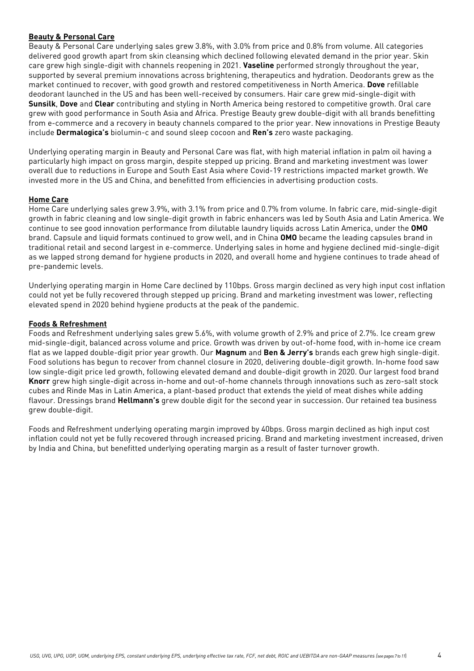# **Beauty & Personal Care**

Beauty & Personal Care underlying sales grew 3.8%, with 3.0% from price and 0.8% from volume. All categories delivered good growth apart from skin cleansing which declined following elevated demand in the prior year. Skin care grew high single-digit with channels reopening in 2021. **Vaseline** performed strongly throughout the year, supported by several premium innovations across brightening, therapeutics and hydration. Deodorants grew as the market continued to recover, with good growth and restored competitiveness in North America. **Dove** refillable deodorant launched in the US and has been well-received by consumers. Hair care grew mid-single-digit with **Sunsilk**, **Dove** and **Clear** contributing and styling in North America being restored to competitive growth. Oral care grew with good performance in South Asia and Africa. Prestige Beauty grew double-digit with all brands benefitting from e-commerce and a recovery in beauty channels compared to the prior year. New innovations in Prestige Beauty include **Dermalogica's** biolumin-c and sound sleep cocoon and **Ren's** zero waste packaging.

Underlying operating margin in Beauty and Personal Care was flat, with high material inflation in palm oil having a particularly high impact on gross margin, despite stepped up pricing. Brand and marketing investment was lower overall due to reductions in Europe and South East Asia where Covid-19 restrictions impacted market growth. We invested more in the US and China, and benefitted from efficiencies in advertising production costs.

#### **Home Care**

Home Care underlying sales grew 3.9%, with 3.1% from price and 0.7% from volume. In fabric care, mid-single-digit growth in fabric cleaning and low single-digit growth in fabric enhancers was led by South Asia and Latin America. We continue to see good innovation performance from dilutable laundry liquids across Latin America, under the **OMO** brand. Capsule and liquid formats continued to grow well, and in China **OMO** became the leading capsules brand in traditional retail and second largest in e-commerce. Underlying sales in home and hygiene declined mid-single-digit as we lapped strong demand for hygiene products in 2020, and overall home and hygiene continues to trade ahead of pre-pandemic levels.

Underlying operating margin in Home Care declined by 110bps. Gross margin declined as very high input cost inflation could not yet be fully recovered through stepped up pricing. Brand and marketing investment was lower, reflecting elevated spend in 2020 behind hygiene products at the peak of the pandemic.

#### **Foods & Refreshment**

Foods and Refreshment underlying sales grew 5.6%, with volume growth of 2.9% and price of 2.7%. Ice cream grew mid-single-digit, balanced across volume and price. Growth was driven by out-of-home food, with in-home ice cream flat as we lapped double-digit prior year growth. Our **Magnum** and **Ben & Jerry's** brands each grew high single-digit. Food solutions has begun to recover from channel closure in 2020, delivering double-digit growth. In-home food saw low single-digit price led growth, following elevated demand and double-digit growth in 2020. Our largest food brand **Knorr** grew high single-digit across in-home and out-of-home channels through innovations such as zero-salt stock cubes and Rinde Mas in Latin America, a plant-based product that extends the yield of meat dishes while adding flavour. Dressings brand **Hellmann's** grew double digit for the second year in succession. Our retained tea business grew double-digit.

Foods and Refreshment underlying operating margin improved by 40bps. Gross margin declined as high input cost inflation could not yet be fully recovered through increased pricing. Brand and marketing investment increased, driven by India and China, but benefitted underlying operating margin as a result of faster turnover growth.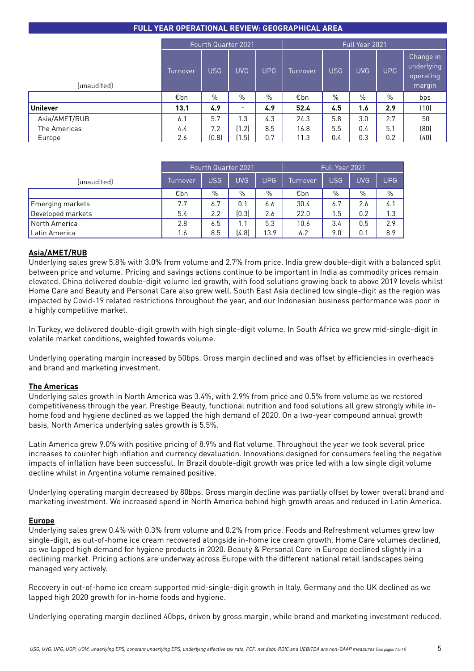| <b>FULL YEAR OPERATIONAL REVIEW: GEOGRAPHICAL AREA</b> |  |
|--------------------------------------------------------|--|
|--------------------------------------------------------|--|

|                 | Fourth Quarter 2021 |            |                          |            |          | <b>Full Year 2021</b> |            |            |                                                |
|-----------------|---------------------|------------|--------------------------|------------|----------|-----------------------|------------|------------|------------------------------------------------|
| (unaudited)     | Turnover            | <b>USG</b> | <b>UVG</b>               | <b>UPG</b> | Turnover | <b>USG</b>            | <b>UVG</b> | <b>UPG</b> | Change in<br>underlying<br>operating<br>margin |
|                 | €bn                 | $\%$       | $\%$                     | $\%$       | €bn      | %                     | $\%$       | $\%$       | bps                                            |
| <b>Unilever</b> | 13.1                | 4.9        | $\overline{\phantom{0}}$ | 4.9        | 52.4     | 4.5                   | 1.6        | 2.9        | (10)                                           |
| Asia/AMET/RUB   | 6.1                 | 5.7        | 1.3                      | 4.3        | 24.3     | 5.8                   | 3.0        | 2.7        | 50                                             |
| The Americas    | 4.4                 | 7.2        | (1.2)                    | 8.5        | 16.8     | 5.5                   | 0.4        | 5.1        | (80)                                           |
| Europe          | 2.6                 | (0.8)      | (1.5)                    | 0.7        | 11.3     | 0.4                   | 0.3        | 0.2        | (40)                                           |

|                         | <b>Fourth Quarter 2021</b> |            |            |      |          | Full Year 2021 |            |            |
|-------------------------|----------------------------|------------|------------|------|----------|----------------|------------|------------|
| (unaudited)             | Turnover                   | <b>USG</b> | <b>UVG</b> | UPG. | Turnover | <b>USG</b>     | <b>UVG</b> | <b>UPG</b> |
|                         | €bn                        | %          | %          | $\%$ | €bn      | %              | %          | $\%$       |
| <b>Emerging markets</b> | 7.7                        | 6.7        | 0.1        | 6.6  | 30.4     | 6.7            | 2.6        | 4.1        |
| Developed markets       | 5.4                        | 2.2        | [0.3]      | 2.6  | 22.0     | 1.5            | 0.2        | 1.3        |
| North America           | 2.8                        | 6.5        | 1.1        | 5.3  | 10.6     | 3.4            | 0.5        | 2.9        |
| Latin America           | 1.6                        | 8.5        | (4.8)      | 13.9 | 6.2      | 9.0            | 0.1        | 8.9        |

# **Asia/AMET/RUB**

Underlying sales grew 5.8% with 3.0% from volume and 2.7% from price. India grew double-digit with a balanced split between price and volume. Pricing and savings actions continue to be important in India as commodity prices remain elevated. China delivered double-digit volume led growth, with food solutions growing back to above 2019 levels whilst Home Care and Beauty and Personal Care also grew well. South East Asia declined low single-digit as the region was impacted by Covid-19 related restrictions throughout the year, and our Indonesian business performance was poor in a highly competitive market.

In Turkey, we delivered double-digit growth with high single-digit volume. In South Africa we grew mid-single-digit in volatile market conditions, weighted towards volume.

Underlying operating margin increased by 50bps. Gross margin declined and was offset by efficiencies in overheads and brand and marketing investment.

# **The Americas**

Underlying sales growth in North America was 3.4%, with 2.9% from price and 0.5% from volume as we restored competitiveness through the year. Prestige Beauty, functional nutrition and food solutions all grew strongly while inhome food and hygiene declined as we lapped the high demand of 2020. On a two-year compound annual growth basis, North America underlying sales growth is 5.5%.

Latin America grew 9.0% with positive pricing of 8.9% and flat volume. Throughout the year we took several price increases to counter high inflation and currency devaluation. Innovations designed for consumers feeling the negative impacts of inflation have been successful. In Brazil double-digit growth was price led with a low single digit volume decline whilst in Argentina volume remained positive.

Underlying operating margin decreased by 80bps. Gross margin decline was partially offset by lower overall brand and marketing investment. We increased spend in North America behind high growth areas and reduced in Latin America.

#### **Europe**

Underlying sales grew 0.4% with 0.3% from volume and 0.2% from price. Foods and Refreshment volumes grew low single-digit, as out-of-home ice cream recovered alongside in-home ice cream growth. Home Care volumes declined, as we lapped high demand for hygiene products in 2020. Beauty & Personal Care in Europe declined slightly in a declining market. Pricing actions are underway across Europe with the different national retail landscapes being managed very actively.

Recovery in out-of-home ice cream supported mid-single-digit growth in Italy. Germany and the UK declined as we lapped high 2020 growth for in-home foods and hygiene.

Underlying operating margin declined 40bps, driven by gross margin, while brand and marketing investment reduced.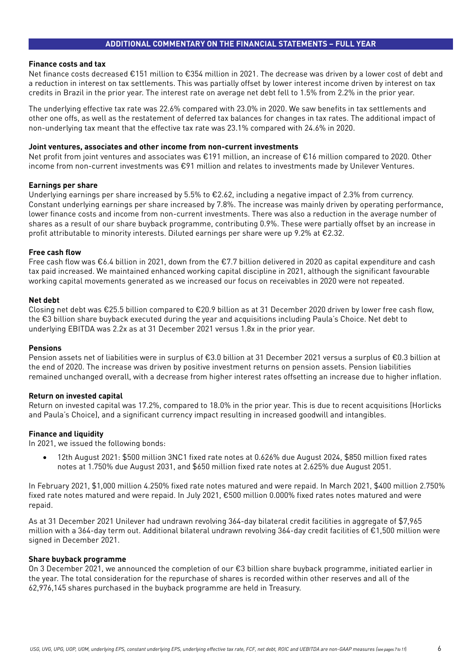# **ADDITIONAL COMMENTARY ON THE FINANCIAL STATEMENTS – FULL YEAR**

#### **Finance costs and tax**

Net finance costs decreased €151 million to €354 million in 2021. The decrease was driven by a lower cost of debt and a reduction in interest on tax settlements. This was partially offset by lower interest income driven by interest on tax credits in Brazil in the prior year. The interest rate on average net debt fell to 1.5% from 2.2% in the prior year.

The underlying effective tax rate was 22.6% compared with 23.0% in 2020. We saw benefits in tax settlements and other one offs, as well as the restatement of deferred tax balances for changes in tax rates. The additional impact of non-underlying tax meant that the effective tax rate was 23.1% compared with 24.6% in 2020.

#### **Joint ventures, associates and other income from non-current investments**

Net profit from joint ventures and associates was €191 million, an increase of €16 million compared to 2020. Other income from non-current investments was €91 million and relates to investments made by Unilever Ventures.

#### **Earnings per share**

Underlying earnings per share increased by 5.5% to €2.62, including a negative impact of 2.3% from currency. Constant underlying earnings per share increased by 7.8%. The increase was mainly driven by operating performance, lower finance costs and income from non-current investments. There was also a reduction in the average number of shares as a result of our share buyback programme, contributing 0.9%. These were partially offset by an increase in profit attributable to minority interests. Diluted earnings per share were up 9.2% at €2.32.

#### **Free cash flow**

Free cash flow was €6.4 billion in 2021, down from the €7.7 billion delivered in 2020 as capital expenditure and cash tax paid increased. We maintained enhanced working capital discipline in 2021, although the significant favourable working capital movements generated as we increased our focus on receivables in 2020 were not repeated.

#### **Net debt**

Closing net debt was €25.5 billion compared to €20.9 billion as at 31 December 2020 driven by lower free cash flow, the €3 billion share buyback executed during the year and acquisitions including Paula's Choice. Net debt to underlying EBITDA was 2.2x as at 31 December 2021 versus 1.8x in the prior year.

#### **Pensions**

Pension assets net of liabilities were in surplus of €3.0 billion at 31 December 2021 versus a surplus of €0.3 billion at the end of 2020. The increase was driven by positive investment returns on pension assets. Pension liabilities remained unchanged overall, with a decrease from higher interest rates offsetting an increase due to higher inflation.

#### **Return on invested capital**

Return on invested capital was 17.2%, compared to 18.0% in the prior year. This is due to recent acquisitions (Horlicks and Paula's Choice), and a significant currency impact resulting in increased goodwill and intangibles.

#### **Finance and liquidity**

In 2021, we issued the following bonds:

• 12th August 2021: \$500 million 3NC1 fixed rate notes at 0.626% due August 2024, \$850 million fixed rates notes at 1.750% due August 2031, and \$650 million fixed rate notes at 2.625% due August 2051.

In February 2021, \$1,000 million 4.250% fixed rate notes matured and were repaid. In March 2021, \$400 million 2.750% fixed rate notes matured and were repaid. In July 2021, €500 million 0.000% fixed rates notes matured and were repaid.

As at 31 December 2021 Unilever had undrawn revolving 364-day bilateral credit facilities in aggregate of \$7,965 million with a 364-day term out. Additional bilateral undrawn revolving 364-day credit facilities of €1,500 million were signed in December 2021.

#### **Share buyback programme**

On 3 December 2021, we announced the completion of our €3 billion share buyback programme, initiated earlier in the year. The total consideration for the repurchase of shares is recorded within other reserves and all of the 62,976,145 shares purchased in the buyback programme are held in Treasury.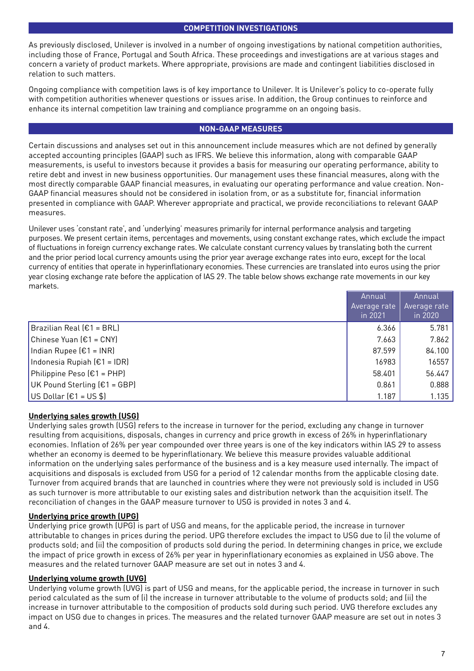## **COMPETITION INVESTIGATIONS**

As previously disclosed, Unilever is involved in a number of ongoing investigations by national competition authorities, including those of France, Portugal and South Africa. These proceedings and investigations are at various stages and concern a variety of product markets. Where appropriate, provisions are made and contingent liabilities disclosed in relation to such matters.

Ongoing compliance with competition laws is of key importance to Unilever. It is Unilever's policy to co-operate fully with competition authorities whenever questions or issues arise. In addition, the Group continues to reinforce and enhance its internal competition law training and compliance programme on an ongoing basis.

# **NON-GAAP MEASURES**

Certain discussions and analyses set out in this announcement include measures which are not defined by generally accepted accounting principles (GAAP) such as IFRS. We believe this information, along with comparable GAAP measurements, is useful to investors because it provides a basis for measuring our operating performance, ability to retire debt and invest in new business opportunities. Our management uses these financial measures, along with the most directly comparable GAAP financial measures, in evaluating our operating performance and value creation. Non-GAAP financial measures should not be considered in isolation from, or as a substitute for, financial information presented in compliance with GAAP. Wherever appropriate and practical, we provide reconciliations to relevant GAAP measures.

Unilever uses 'constant rate', and 'underlying' measures primarily for internal performance analysis and targeting purposes. We present certain items, percentages and movements, using constant exchange rates, which exclude the impact of fluctuations in foreign currency exchange rates. We calculate constant currency values by translating both the current and the prior period local currency amounts using the prior year average exchange rates into euro, except for the local currency of entities that operate in hyperinflationary economies. These currencies are translated into euros using the prior year closing exchange rate before the application of IAS 29. The table below shows exchange rate movements in our key markets.

|                                      | Annual<br>Average rate<br>in 2021 | Annual<br>Average rate<br>in 2020 |
|--------------------------------------|-----------------------------------|-----------------------------------|
| Brazilian Real ( $\epsilon$ 1 = BRL) | 6.366                             | 5.781                             |
| Chinese Yuan $E1 = CNY$              | 7.663                             | 7.862                             |
| Indian Rupee $[£1 = INR]$            | 87.599                            | 84.100                            |
| Indonesia Rupiah $E1 = IDR$          | 16983                             | 16557                             |
| Philippine Peso $E1 = PHP$           | 58.401                            | 56.447                            |
| UK Pound Sterling $E1 = GBP$         | 0.861                             | 0.888                             |
| US Dollar $(E1 = US $)$              | 1.187                             | 1.135                             |

# **Underlying sales growth (USG)**

Underlying sales growth (USG) refers to the increase in turnover for the period, excluding any change in turnover resulting from acquisitions, disposals, changes in currency and price growth in excess of 26% in hyperinflationary economies. Inflation of 26% per year compounded over three years is one of the key indicators within IAS 29 to assess whether an economy is deemed to be hyperinflationary. We believe this measure provides valuable additional information on the underlying sales performance of the business and is a key measure used internally. The impact of acquisitions and disposals is excluded from USG for a period of 12 calendar months from the applicable closing date. Turnover from acquired brands that are launched in countries where they were not previously sold is included in USG as such turnover is more attributable to our existing sales and distribution network than the acquisition itself. The reconciliation of changes in the GAAP measure turnover to USG is provided in notes 3 and 4.

#### **Underlying price growth (UPG)**

Underlying price growth (UPG) is part of USG and means, for the applicable period, the increase in turnover attributable to changes in prices during the period. UPG therefore excludes the impact to USG due to (i) the volume of products sold; and (ii) the composition of products sold during the period. In determining changes in price, we exclude the impact of price growth in excess of 26% per year in hyperinflationary economies as explained in USG above. The measures and the related turnover GAAP measure are set out in notes 3 and 4.

# **Underlying volume growth (UVG)**

Underlying volume growth (UVG) is part of USG and means, for the applicable period, the increase in turnover in such period calculated as the sum of (i) the increase in turnover attributable to the volume of products sold; and (ii) the increase in turnover attributable to the composition of products sold during such period. UVG therefore excludes any impact on USG due to changes in prices. The measures and the related turnover GAAP measure are set out in notes 3 and 4.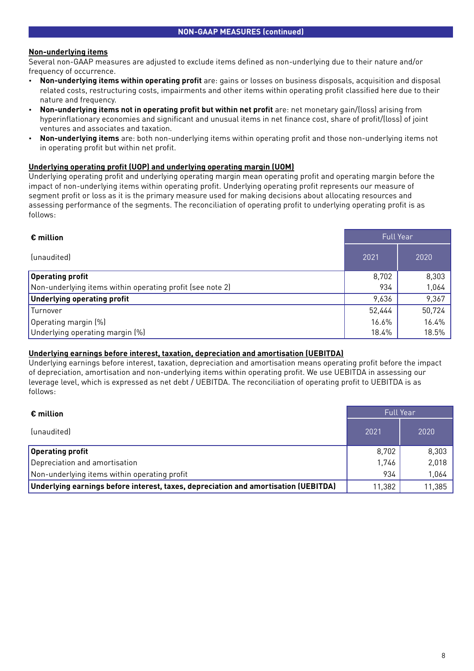# **Non-underlying items**

Several non-GAAP measures are adjusted to exclude items defined as non-underlying due to their nature and/or frequency of occurrence.

- **Non-underlying items within operating profit** are: gains or losses on business disposals, acquisition and disposal related costs, restructuring costs, impairments and other items within operating profit classified here due to their nature and frequency.
- **Non-underlying items not in operating profit but within net profit** are: net monetary gain/(loss) arising from hyperinflationary economies and significant and unusual items in net finance cost, share of profit/(loss) of joint ventures and associates and taxation.
- **Non-underlying items** are: both non-underlying items within operating profit and those non-underlying items not in operating profit but within net profit.

## **Underlying operating profit (UOP) and underlying operating margin (UOM)**

Underlying operating profit and underlying operating margin mean operating profit and operating margin before the impact of non-underlying items within operating profit. Underlying operating profit represents our measure of segment profit or loss as it is the primary measure used for making decisions about allocating resources and assessing performance of the segments. The reconciliation of operating profit to underlying operating profit is as follows:

| $\epsilon$ million                                        |        | <b>Full Year</b> |  |  |
|-----------------------------------------------------------|--------|------------------|--|--|
| (unaudited)                                               | 2021   | 2020             |  |  |
| <b>Operating profit</b>                                   | 8,702  | 8,303            |  |  |
| Non-underlying items within operating profit (see note 2) | 934    | 1,064            |  |  |
| Underlying operating profit                               | 9,636  | 9,367            |  |  |
| Turnover                                                  | 52,444 | 50,724           |  |  |
| Operating margin (%)                                      | 16.6%  | 16.4%            |  |  |
| Underlying operating margin (%)                           | 18.4%  | 18.5%            |  |  |

# **Underlying earnings before interest, taxation, depreciation and amortisation (UEBITDA)**

Underlying earnings before interest, taxation, depreciation and amortisation means operating profit before the impact of depreciation, amortisation and non-underlying items within operating profit. We use UEBITDA in assessing our leverage level, which is expressed as net debt / UEBITDA. The reconciliation of operating profit to UEBITDA is as follows:

| $\epsilon$ million                                                                  | <b>Full Year</b> |        |
|-------------------------------------------------------------------------------------|------------------|--------|
| (unaudited)                                                                         | 2021             | 2020   |
| <b>Operating profit</b>                                                             | 8,702            | 8,303  |
| Depreciation and amortisation                                                       | 1,746            | 2,018  |
| Non-underlying items within operating profit                                        | 934              | 1,064  |
| Underlying earnings before interest, taxes, depreciation and amortisation (UEBITDA) | 11,382           | 11,385 |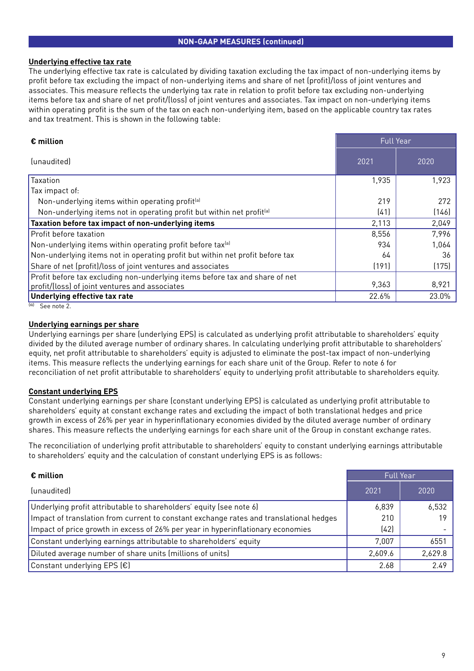## **NON-GAAP MEASURES (continued)**

## **Underlying effective tax rate**

The underlying effective tax rate is calculated by dividing taxation excluding the tax impact of non-underlying items by profit before tax excluding the impact of non-underlying items and share of net (profit)/loss of joint ventures and associates. This measure reflects the underlying tax rate in relation to profit before tax excluding non-underlying items before tax and share of net profit/(loss) of joint ventures and associates. Tax impact on non-underlying items within operating profit is the sum of the tax on each non-underlying item, based on the applicable country tax rates and tax treatment. This is shown in the following table:

| $\epsilon$ million                                                                | <b>Full Year</b> |       |  |
|-----------------------------------------------------------------------------------|------------------|-------|--|
| (unaudited)                                                                       | 2021             | 2020  |  |
| Taxation                                                                          | 1,935            | 1,923 |  |
| Tax impact of:                                                                    |                  |       |  |
| Non-underlying items within operating profit <sup>(a)</sup>                       | 219              | 272   |  |
| Non-underlying items not in operating profit but within net profit <sup>[a]</sup> | (41)             | (146) |  |
| Taxation before tax impact of non-underlying items                                | 2,113            | 2,049 |  |
| Profit before taxation                                                            | 8,556            | 7,996 |  |
| Non-underlying items within operating profit before tax <sup>(a)</sup>            | 934              | 1,064 |  |
| Non-underlying items not in operating profit but within net profit before tax     | 64               | 36    |  |
| Share of net (profit)/loss of joint ventures and associates                       | (191)            | (175) |  |
| Profit before tax excluding non-underlying items before tax and share of net      |                  |       |  |
| profit/(loss) of joint ventures and associates                                    | 9,363            | 8,921 |  |
| Underlying effective tax rate<br>$(n)$ $\sim$ $\sim$ $\sim$                       | 22.6%            | 23.0% |  |

<sup>(a)</sup> See note 2.

## **Underlying earnings per share**

Underlying earnings per share (underlying EPS) is calculated as underlying profit attributable to shareholders' equity divided by the diluted average number of ordinary shares. In calculating underlying profit attributable to shareholders' equity, net profit attributable to shareholders' equity is adjusted to eliminate the post-tax impact of non-underlying items. This measure reflects the underlying earnings for each share unit of the Group. Refer to note 6 for reconciliation of net profit attributable to shareholders' equity to underlying profit attributable to shareholders equity.

# **Constant underlying EPS**

Constant underlying earnings per share (constant underlying EPS) is calculated as underlying profit attributable to shareholders' equity at constant exchange rates and excluding the impact of both translational hedges and price growth in excess of 26% per year in hyperinflationary economies divided by the diluted average number of ordinary shares. This measure reflects the underlying earnings for each share unit of the Group in constant exchange rates.

The reconciliation of underlying profit attributable to shareholders' equity to constant underlying earnings attributable to shareholders' equity and the calculation of constant underlying EPS is as follows:

| $\epsilon$ million                                                                     |         | <b>Full Year</b> |  |  |
|----------------------------------------------------------------------------------------|---------|------------------|--|--|
| (unaudited)                                                                            | 2021    | 2020             |  |  |
| Underlying profit attributable to shareholders' equity (see note 6)                    | 6,839   | 6,532            |  |  |
| Impact of translation from current to constant exchange rates and translational hedges | 210     | 19               |  |  |
| Impact of price growth in excess of 26% per year in hyperinflationary economies        | (42)    |                  |  |  |
| Constant underlying earnings attributable to shareholders' equity                      | 7,007   | 6551             |  |  |
| Diluted average number of share units (millions of units)                              | 2,609.6 | 2,629.8          |  |  |
| Constant underlying EPS (€)                                                            | 2.68    | 2.49             |  |  |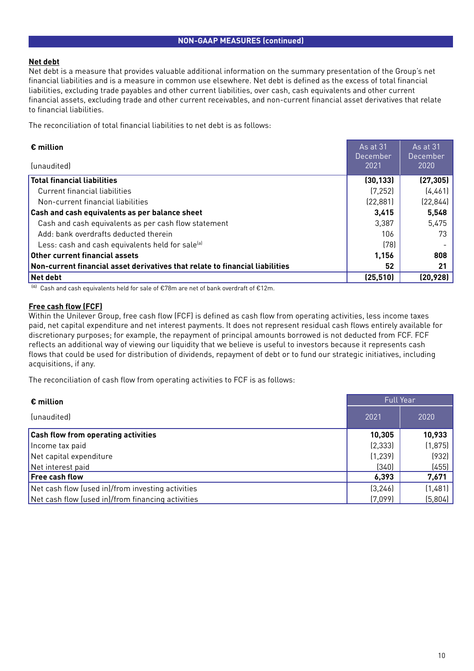# **Net debt**

Net debt is a measure that provides valuable additional information on the summary presentation of the Group's net financial liabilities and is a measure in common use elsewhere. Net debt is defined as the excess of total financial liabilities, excluding trade payables and other current liabilities, over cash, cash equivalents and other current financial assets, excluding trade and other current receivables, and non-current financial asset derivatives that relate to financial liabilities.

The reconciliation of total financial liabilities to net debt is as follows:

| $\epsilon$ million                                                                 | As at 31<br>December | As at $31$<br>December |
|------------------------------------------------------------------------------------|----------------------|------------------------|
| (unaudited)                                                                        | 2021                 | 2020                   |
| Total financial liabilities                                                        | (30, 133)            | (27, 305)              |
| Current financial liabilities                                                      | (7, 252)             | (4, 461)               |
| Non-current financial liabilities                                                  | (22, 881)            | (22, 844)              |
| Cash and cash equivalents as per balance sheet                                     | 3,415                | 5,548                  |
| Cash and cash equivalents as per cash flow statement                               | 3,387                | 5,475                  |
| Add: bank overdrafts deducted therein                                              | 106                  | 73                     |
| Less: cash and cash equivalents held for sale <sup>[a]</sup>                       | (78)                 |                        |
| Other current financial assets                                                     | 1,156                | 808                    |
| $\sf Non-current$ financial asset derivatives that relate to financial liabilities | 52                   | 21                     |
| Net debt                                                                           | (25, 510)            | (20, 928)              |

(a) Cash and cash equivalents held for sale of  $\epsilon$ 78m are net of bank overdraft of  $\epsilon$ 12m.

## **Free cash flow (FCF)**

Within the Unilever Group, free cash flow (FCF) is defined as cash flow from operating activities, less income taxes paid, net capital expenditure and net interest payments. It does not represent residual cash flows entirely available for discretionary purposes; for example, the repayment of principal amounts borrowed is not deducted from FCF. FCF reflects an additional way of viewing our liquidity that we believe is useful to investors because it represents cash flows that could be used for distribution of dividends, repayment of debt or to fund our strategic initiatives, including acquisitions, if any.

The reconciliation of cash flow from operating activities to FCF is as follows:

| $\epsilon$ million                                | Full Year |          |
|---------------------------------------------------|-----------|----------|
| (unaudited)                                       | 2021      | 2020     |
| <b>Cash flow from operating activities</b>        | 10,305    | 10,933   |
| Income tax paid                                   | (2, 333)  | (1, 875) |
| Net capital expenditure                           | (1, 239)  | (932)    |
| Net interest paid                                 | (340)     | (455)    |
| <b>Free cash flow</b>                             | 6,393     | 7,671    |
| Net cash flow (used in)/from investing activities | (3, 246)  | (1,481)  |
| Net cash flow (used in)/from financing activities | (7,099)   | (5,804)  |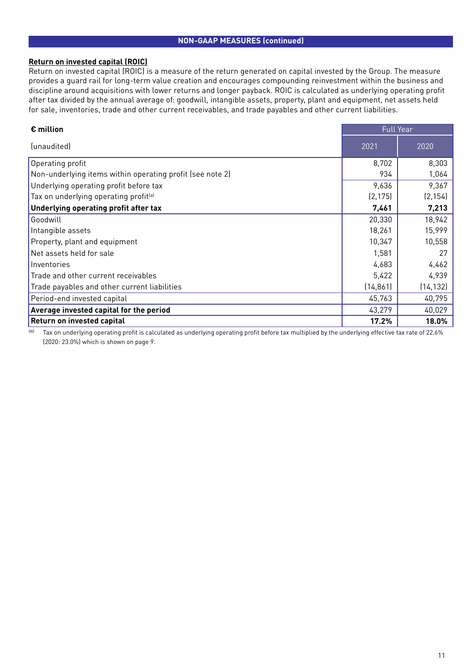## **NON-GAAP MEASURES (continued)**

# **Return on invested capital (ROIC)**

Return on invested capital (ROIC) is a measure of the return generated on capital invested by the Group. The measure provides a guard rail for long-term value creation and encourages compounding reinvestment within the business and discipline around acquisitions with lower returns and longer payback. ROIC is calculated as underlying operating profit after tax divided by the annual average of: goodwill, intangible assets, property, plant and equipment, net assets held for sale, inventories, trade and other current receivables, and trade payables and other current liabilities.

| $\epsilon$ million                                        | <b>Full Year</b> |           |
|-----------------------------------------------------------|------------------|-----------|
| (unaudited)                                               | 2021             | 2020      |
| Operating profit                                          | 8,702            | 8,303     |
| Non-underlying items within operating profit (see note 2) | 934              | 1,064     |
| Underlying operating profit before tax                    | 9,636            | 9,367     |
| Tax on underlying operating profit <sup>[a]</sup>         | (2, 175)         | (2, 154)  |
| Underlying operating profit after tax                     | 7,461            | 7,213     |
| Goodwill                                                  | 20,330           | 18,942    |
| Intangible assets                                         | 18,261           | 15,999    |
| Property, plant and equipment                             | 10,347           | 10,558    |
| Net assets held for sale                                  | 1,581            | 27        |
| Inventories                                               | 4,683            | 4,462     |
| Trade and other current receivables                       | 5,422            | 4,939     |
| Trade payables and other current liabilities              | (14, 861)        | (14, 132) |
| Period-end invested capital                               | 45,763           | 40,795    |
| Average invested capital for the period                   | 43,279           | 40,029    |
| Return on invested capital                                | 17.2%            | 18.0%     |

<sup>(a)</sup> Tax on underlying operating profit is calculated as underlying operating profit before tax multiplied by the underlying effective tax rate of 22.6% (2020: 23.0%) which is shown on page 9.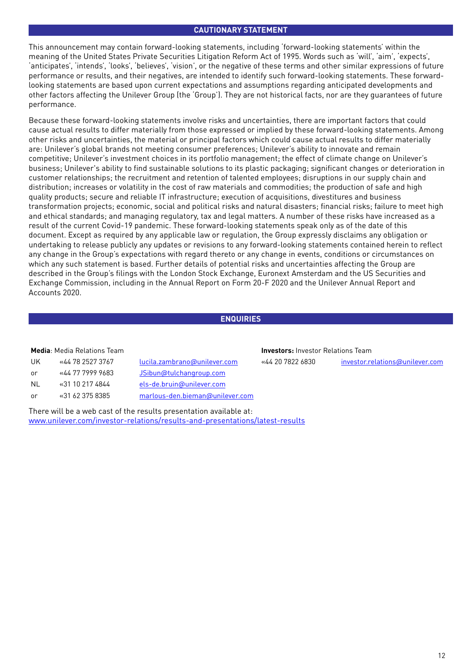This announcement may contain forward-looking statements, including 'forward-looking statements' within the meaning of the United States Private Securities Litigation Reform Act of 1995. Words such as 'will', 'aim', 'expects', 'anticipates', 'intends', 'looks', 'believes', 'vision', or the negative of these terms and other similar expressions of future performance or results, and their negatives, are intended to identify such forward-looking statements. These forwardlooking statements are based upon current expectations and assumptions regarding anticipated developments and other factors affecting the Unilever Group (the 'Group'). They are not historical facts, nor are they guarantees of future performance.

Because these forward-looking statements involve risks and uncertainties, there are important factors that could cause actual results to differ materially from those expressed or implied by these forward-looking statements. Among other risks and uncertainties, the material or principal factors which could cause actual results to differ materially are: Unilever's global brands not meeting consumer preferences; Unilever's ability to innovate and remain competitive; Unilever's investment choices in its portfolio management; the effect of climate change on Unilever's business; Unilever's ability to find sustainable solutions to its plastic packaging; significant changes or deterioration in customer relationships; the recruitment and retention of talented employees; disruptions in our supply chain and distribution; increases or volatility in the cost of raw materials and commodities; the production of safe and high quality products; secure and reliable IT infrastructure; execution of acquisitions, divestitures and business transformation projects; economic, social and political risks and natural disasters; financial risks; failure to meet high and ethical standards; and managing regulatory, tax and legal matters. A number of these risks have increased as a result of the current Covid-19 pandemic. These forward-looking statements speak only as of the date of this document. Except as required by any applicable law or regulation, the Group expressly disclaims any obligation or undertaking to release publicly any updates or revisions to any forward-looking statements contained herein to reflect any change in the Group's expectations with regard thereto or any change in events, conditions or circumstances on which any such statement is based. Further details of potential risks and uncertainties affecting the Group are described in the Group's filings with the London Stock Exchange, Euronext Amsterdam and the US Securities and Exchange Commission, including in the Annual Report on Form 20-F 2020 and the Unilever Annual Report and Accounts 2020.

# **ENQUIRIES**

| UK. | «44 78 2527 3767 | lucila.zambrano@unilever.com    |
|-----|------------------|---------------------------------|
| or  | «44 77 7999 9683 | JSibun@tulchangroup.com         |
| NI  | «31 10 217 4844  | els-de.bruin@unilever.com       |
| or  | «31 62 375 8385  | marlous-den.bieman@unilever.com |

There will be a web cast of the results presentation available at: www.unilever.com/investor-relations/results-and-presentations/latest-results

#### **Media**: Media Relations Team **Investors:** Investor Relations Team

«44 20 7822 6830 investor.relations@unilever.com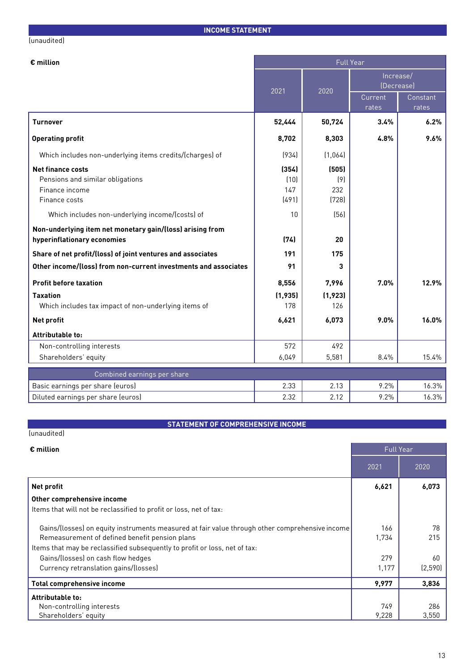**INCOME STATEMENT**

| € million                                                                                       | <b>Full Year</b>              |                              |                         |                   |
|-------------------------------------------------------------------------------------------------|-------------------------------|------------------------------|-------------------------|-------------------|
|                                                                                                 | 2021                          | 2020                         | Increase/<br>(Decrease) |                   |
|                                                                                                 |                               |                              | Current<br>rates        | Constant<br>rates |
| <b>Turnover</b>                                                                                 | 52,444                        | 50,724                       | 3.4%                    | 6.2%              |
| <b>Operating profit</b>                                                                         | 8,702                         | 8,303                        | 4.8%                    | 9.6%              |
| Which includes non-underlying items credits/(charges) of                                        | (934)                         | (1,064)                      |                         |                   |
| <b>Net finance costs</b><br>Pensions and similar obligations<br>Finance income<br>Finance costs | (354)<br>(10)<br>147<br>(491) | (505)<br>(9)<br>232<br>(728) |                         |                   |
| Which includes non-underlying income/(costs) of                                                 | 10                            | (56)                         |                         |                   |
| Non-underlying item net monetary gain/(loss) arising from<br>hyperinflationary economies        | (74)                          | 20                           |                         |                   |
| Share of net profit/(loss) of joint ventures and associates                                     | 191                           | 175                          |                         |                   |
| Other income/(loss) from non-current investments and associates                                 | 91                            | 3                            |                         |                   |
| <b>Profit before taxation</b>                                                                   | 8,556                         | 7,996                        | 7.0%                    | 12.9%             |
| <b>Taxation</b>                                                                                 | (1,935)                       | (1,923)                      |                         |                   |
| Which includes tax impact of non-underlying items of                                            | 178                           | 126                          |                         |                   |
| Net profit                                                                                      | 6,621                         | 6,073                        | 9.0%                    | 16.0%             |
| Attributable to:                                                                                |                               |                              |                         |                   |
| Non-controlling interests                                                                       | 572                           | 492                          |                         |                   |
| Shareholders' equity                                                                            | 6,049                         | 5,581                        | 8.4%                    | 15.4%             |
| Combined earnings per share                                                                     |                               |                              |                         |                   |
| Basic earnings per share (euros)                                                                | 2.33                          | 2.13                         | 9.2%                    | 16.3%             |
| Diluted earnings per share (euros)                                                              | 2.32                          | 2.12                         | 9.2%                    | 16.3%             |

# **STATEMENT OF COMPREHENSIVE INCOME**

## (unaudited)

| $\epsilon$ million                                                                                                                                                                                                                                                                                            |                              | <b>Full Year</b>           |  |  |
|---------------------------------------------------------------------------------------------------------------------------------------------------------------------------------------------------------------------------------------------------------------------------------------------------------------|------------------------------|----------------------------|--|--|
|                                                                                                                                                                                                                                                                                                               | 2021                         | 2020                       |  |  |
| Net profit                                                                                                                                                                                                                                                                                                    | 6,621                        | 6,073                      |  |  |
| Other comprehensive income                                                                                                                                                                                                                                                                                    |                              |                            |  |  |
| Items that will not be reclassified to profit or loss, net of tax:                                                                                                                                                                                                                                            |                              |                            |  |  |
| Gains/(losses) on equity instruments measured at fair value through other comprehensive income<br>Remeasurement of defined benefit pension plans<br>Items that may be reclassified subsequently to profit or loss, net of tax:<br>Gains/(losses) on cash flow hedges<br>Currency retranslation gains/(losses) | 166<br>1,734<br>279<br>1,177 | 78<br>215<br>60<br>(2,590) |  |  |
| <b>Total comprehensive income</b>                                                                                                                                                                                                                                                                             | 9,977                        | 3,836                      |  |  |
| Attributable to:<br>Non-controlling interests                                                                                                                                                                                                                                                                 | 749                          | 286                        |  |  |
| Shareholders' equity                                                                                                                                                                                                                                                                                          | 9,228                        | 3,550                      |  |  |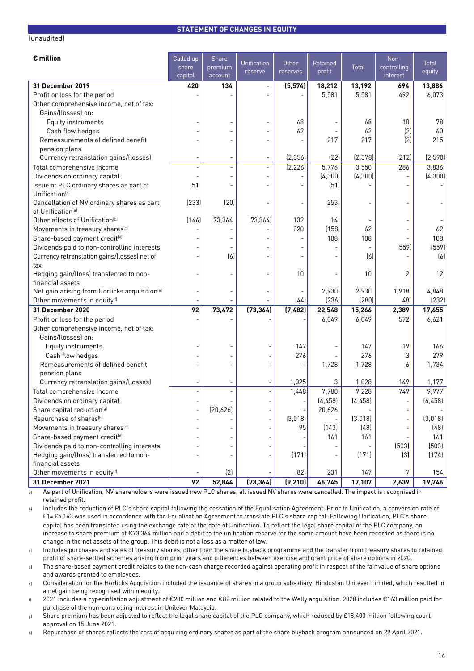#### **STATEMENT OF CHANGES IN EQUITY**

| € million                                                                   | Called up<br>share | Share<br>premium | Unification              | Other    | Retained | <b>Total</b> | Non-<br>controlling | <b>Total</b> |
|-----------------------------------------------------------------------------|--------------------|------------------|--------------------------|----------|----------|--------------|---------------------|--------------|
|                                                                             | capital            | account          | reserve                  | reserves | profit   |              | interest            | equity       |
| 31 December 2019                                                            | 420                | 134              | $\overline{\phantom{a}}$ | (5, 574) | 18,212   | 13,192       | 694                 | 13,886       |
| Profit or loss for the period                                               |                    |                  |                          |          | 5,581    | 5,581        | 492                 | 6,073        |
| Other comprehensive income, net of tax:                                     |                    |                  |                          |          |          |              |                     |              |
| Gains/(losses) on:                                                          |                    |                  |                          |          |          |              |                     |              |
| Equity instruments                                                          |                    |                  |                          | 68       |          | 68           | 10 <sup>°</sup>     | 78           |
| Cash flow hedges                                                            |                    |                  |                          | 62       |          | 62           | (2)                 | 60           |
| Remeasurements of defined benefit                                           |                    |                  |                          |          | 217      | 217          | (2)                 | 215          |
| pension plans                                                               |                    |                  |                          |          |          |              |                     |              |
| Currency retranslation gains/(losses)                                       |                    |                  | $\overline{\phantom{a}}$ | (2, 356) | (22)     | (2, 378)     | (212)               | (2, 590)     |
| Total comprehensive income                                                  |                    |                  | $\overline{\phantom{a}}$ | (2, 226) | 5,776    | 3,550        | 286                 | 3,836        |
| Dividends on ordinary capital                                               |                    |                  |                          |          | (4, 300) | (4, 300)     |                     | (4,300)      |
| Issue of PLC ordinary shares as part of                                     | 51                 |                  |                          |          | (51)     |              |                     |              |
| Unification <sup>[a]</sup>                                                  |                    |                  |                          |          |          |              |                     |              |
| Cancellation of NV ordinary shares as part<br>of Unification <sup>[a]</sup> | [233]              | (20)             |                          |          | 253      |              |                     |              |
| Other effects of Unification <sup>(b)</sup>                                 | (146)              | 73,364           | (73, 364)                | 132      | 14       |              |                     |              |
| Movements in treasury shares <sup>(c)</sup>                                 |                    |                  |                          | 220      | (158)    | 62           |                     | 62           |
| Share-based payment credit <sup>(d)</sup>                                   |                    |                  |                          |          | 108      | 108          |                     | 108          |
| Dividends paid to non-controlling interests                                 |                    |                  |                          |          |          |              | (559)               | (559)        |
| Currency retranslation gains/(losses) net of                                |                    | (6)              |                          |          |          | (6)          |                     | (6)          |
| tax                                                                         |                    |                  |                          |          |          |              |                     |              |
| Hedging gain/(loss) transferred to non-                                     |                    |                  |                          | 10       |          | 10           | 2                   | 12           |
| financial assets                                                            |                    |                  |                          |          |          |              |                     |              |
| Net gain arising from Horlicks acquisition <sup>(e)</sup>                   |                    |                  |                          |          | 2,930    | 2,930        | 1,918               | 4,848        |
| Other movements in equity <sup>(f)</sup>                                    |                    |                  |                          | (44)     | (236)    | (280)        | 48                  | (232)        |
| 31 December 2020                                                            | 92                 | 73,472           | (73, 364)                | (7,482)  | 22,548   | 15,266       | 2,389               | 17,655       |
| Profit or loss for the period                                               |                    |                  |                          |          | 6,049    | 6,049        | 572                 | 6,621        |
| Other comprehensive income, net of tax:                                     |                    |                  |                          |          |          |              |                     |              |
| Gains/(losses) on:                                                          |                    |                  |                          |          |          |              |                     |              |
| Equity instruments                                                          |                    |                  |                          | 147      |          | 147          | 19                  | 166          |
| Cash flow hedges                                                            |                    |                  |                          | 276      |          | 276          | 3                   | 279          |
| Remeasurements of defined benefit                                           |                    |                  |                          |          | 1,728    | 1,728        | 6                   | 1,734        |
| pension plans                                                               |                    |                  |                          |          |          |              |                     |              |
| Currency retranslation gains/(losses)                                       |                    |                  |                          | 1,025    | 3        | 1,028        | 149                 | 1,177        |
| Total comprehensive income                                                  |                    |                  |                          | 1,448    | 7,780    | 9,228        | 749                 | 9,977        |
| Dividends on ordinary capital                                               |                    |                  |                          |          | (4, 458) | (4, 458)     |                     | (4, 458)     |
| Share capital reduction <sup>(g)</sup>                                      |                    | [20,626]         |                          |          | 20,626   |              |                     |              |
| Repurchase of shares <sup>[h]</sup>                                         |                    |                  |                          | (3,018)  |          | (3,018)      |                     | (3,018)      |
| Movements in treasury shares <sup>(c)</sup>                                 | ä,                 |                  |                          | 95       | (143)    | (48)         |                     | (48)         |
| Share-based payment credit <sup>[d]</sup>                                   | ٠                  |                  |                          |          | 161      | 161          |                     | 161          |
| Dividends paid to non-controlling interests                                 |                    |                  |                          |          |          |              | (503)               | (503)        |
| Hedging gain/(loss) transferred to non-                                     |                    |                  |                          | (171)    |          | (171)        | $[3]$               | (174)        |
| financial assets                                                            |                    |                  |                          |          |          |              |                     |              |
| Other movements in equity <sup>(f)</sup>                                    |                    | (2)              |                          | [82]     | 231      | 147          | 7                   | 154          |
| 31 December 2021                                                            | 92                 | 52,844           | (73, 364)                | (9, 210) | 46,745   | 17,107       | 2,639               | 19,746       |

a) As part of Unification, NV shareholders were issued new PLC shares, all issued NV shares were cancelled. The impact is recognised in retained profit.

b) Includes the reduction of PLC's share capital following the cessation of the Equalisation Agreement. Prior to Unification, a conversion rate of £1= €5.143 was used in accordance with the Equalisation Agreement to translate PLC's share capital. Following Unification, PLC's share capital has been translated using the exchange rate at the date of Unification. To reflect the legal share capital of the PLC company, an increase to share premium of €73,364 million and a debit to the unification reserve for the same amount have been recorded as there is no change in the net assets of the group. This debit is not a loss as a matter of law.

c) Includes purchases and sales of treasury shares, other than the share buyback programme and the transfer from treasury shares to retained profit of share-settled schemes arising from prior years and differences between exercise and grant price of share options in 2020.

d) The share-based payment credit relates to the non-cash charge recorded against operating profit in respect of the fair value of share options and awards granted to employees.

e) Consideration for the Horlicks Acquisition included the issuance of shares in a group subsidiary, Hindustan Unilever Limited, which resulted in a net gain being recognised within equity.

f) 2021 includes a hyperinflation adjustment of €280 million and €82 million related to the Welly acquisition. 2020 includes €163 million paid for purchase of the non-controlling interest in Unilever Malaysia.

g) Share premium has been adjusted to reflect the legal share capital of the PLC company, which reduced by £18,400 million following court approval on 15 June 2021.

h) Repurchase of shares reflects the cost of acquiring ordinary shares as part of the share buyback program announced on 29 April 2021.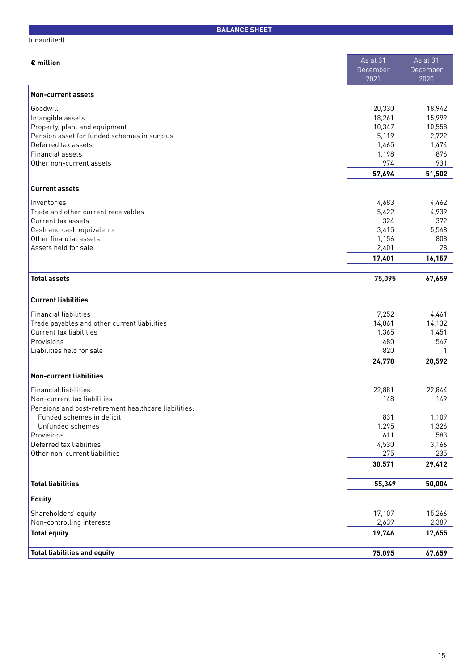**BALANCE SHEET**

| $\epsilon$ million                                   | As at 31   | As at 31 |
|------------------------------------------------------|------------|----------|
|                                                      | December   | December |
|                                                      | 2021       | 2020     |
| Non-current assets                                   |            |          |
| Goodwill                                             | 20,330     | 18,942   |
| Intangible assets                                    | 18,261     | 15,999   |
| Property, plant and equipment                        | 10,347     | 10,558   |
| Pension asset for funded schemes in surplus          | 5,119      | 2,722    |
| Deferred tax assets                                  | 1,465      | 1,474    |
| Financial assets                                     | 1,198      | 876      |
| Other non-current assets                             | 974        | 931      |
|                                                      | 57,694     | 51,502   |
| <b>Current assets</b>                                |            |          |
| Inventories                                          | 4,683      | 4,462    |
| Trade and other current receivables                  | 5,422      | 4,939    |
| Current tax assets                                   | 324        | 372      |
| Cash and cash equivalents                            | 3,415      | 5,548    |
| Other financial assets                               | 1,156      | 808      |
| Assets held for sale                                 | 2,401      | 28       |
|                                                      | 17,401     | 16,157   |
|                                                      |            |          |
| <b>Total assets</b>                                  | 75,095     | 67,659   |
| <b>Current liabilities</b>                           |            |          |
|                                                      |            |          |
| <b>Financial liabilities</b>                         | 7,252      | 4,461    |
| Trade payables and other current liabilities         | 14,861     | 14,132   |
| Current tax liabilities                              | 1,365      | 1,451    |
| Provisions<br>Liabilities held for sale              | 480<br>820 | 547      |
|                                                      |            |          |
|                                                      | 24,778     | 20,592   |
| <b>Non-current liabilities</b>                       |            |          |
| Financial liabilities                                | 22,881     | 22,844   |
| Non-current tax liabilities                          | 148        | 149      |
| Pensions and post-retirement healthcare liabilities: |            |          |
| Funded schemes in deficit                            | 831        | 1,109    |
| Unfunded schemes                                     | 1,295      | 1,326    |
| Provisions                                           | 611        | 583      |
| Deferred tax liabilities                             | 4,530      | 3,166    |
| Other non-current liabilities                        | 275        | 235      |
|                                                      | 30,571     | 29,412   |
| <b>Total liabilities</b>                             | 55,349     | 50,004   |
|                                                      |            |          |
| <b>Equity</b>                                        |            |          |
| Shareholders' equity                                 | 17,107     | 15,266   |
| Non-controlling interests                            | 2,639      | 2,389    |
| <b>Total equity</b>                                  | 19,746     | 17,655   |
|                                                      |            |          |
| <b>Total liabilities and equity</b>                  | 75,095     | 67,659   |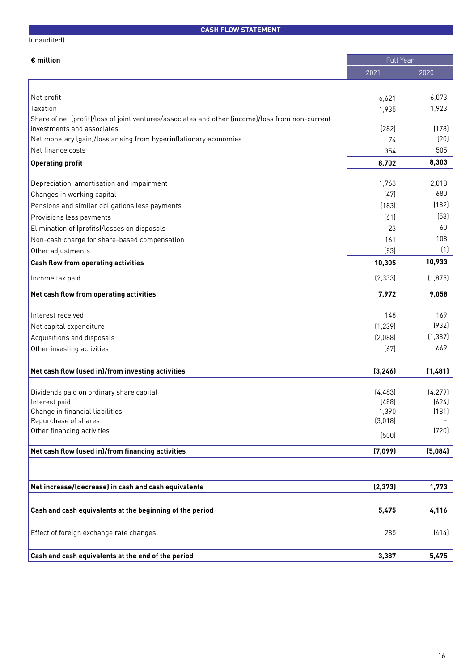# **CASH FLOW STATEMENT**

| C million |  |  |
|-----------|--|--|

| € million                                                                                        |                  | <b>Full Year</b> |  |
|--------------------------------------------------------------------------------------------------|------------------|------------------|--|
|                                                                                                  | 2021             | 2020             |  |
|                                                                                                  |                  |                  |  |
| Net profit                                                                                       | 6,621            | 6,073            |  |
| Taxation                                                                                         | 1,935            | 1,923            |  |
| Share of net (profit)/loss of joint ventures/associates and other (income)/loss from non-current |                  |                  |  |
| investments and associates                                                                       | (282)            | (178)            |  |
| Net monetary (gain)/loss arising from hyperinflationary economies                                | 74               | (20)             |  |
| Net finance costs                                                                                | 354              | 505              |  |
| <b>Operating profit</b>                                                                          | 8,702            | 8,303            |  |
| Depreciation, amortisation and impairment                                                        | 1,763            | 2,018            |  |
| Changes in working capital                                                                       | (47)             | 680              |  |
| Pensions and similar obligations less payments                                                   | (183)            | (182)            |  |
| Provisions less payments                                                                         | (61)             | (53)             |  |
| Elimination of (profits)/losses on disposals                                                     | 23               | 60               |  |
| Non-cash charge for share-based compensation                                                     | 161              | 108              |  |
| Other adjustments                                                                                | (53)             | (1)              |  |
| <b>Cash flow from operating activities</b>                                                       | 10,305           | 10,933           |  |
| Income tax paid                                                                                  | [2, 333]         | (1, 875)         |  |
| Net cash flow from operating activities                                                          | 7,972            | 9,058            |  |
|                                                                                                  |                  |                  |  |
| Interest received                                                                                | 148              | 169              |  |
| Net capital expenditure                                                                          | (1, 239)         | (932)            |  |
| Acquisitions and disposals                                                                       | (2,088)          | (1, 387)         |  |
| Other investing activities                                                                       | (67)             | 669              |  |
| Net cash flow (used in)/from investing activities                                                | (3, 246)         | (1,481)          |  |
|                                                                                                  |                  |                  |  |
| Dividends paid on ordinary share capital                                                         | (4, 483)         | (4, 279)         |  |
| Interest paid                                                                                    | (488)            | (624)<br>(181)   |  |
| Change in financial liabilities<br>Repurchase of shares                                          | 1,390<br>(3,018) |                  |  |
| Other financing activities                                                                       |                  | (720)            |  |
|                                                                                                  | (500)            |                  |  |
| Net cash flow (used in)/from financing activities                                                | (7,099)          | (5,084)          |  |
|                                                                                                  |                  |                  |  |
| Net increase/(decrease) in cash and cash equivalents                                             | (2, 373)         | 1,773            |  |
| Cash and cash equivalents at the beginning of the period                                         | 5,475            | 4,116            |  |
|                                                                                                  |                  |                  |  |
| Effect of foreign exchange rate changes                                                          | 285              | (414)            |  |
| Cash and cash equivalents at the end of the period                                               | 3,387            | 5,475            |  |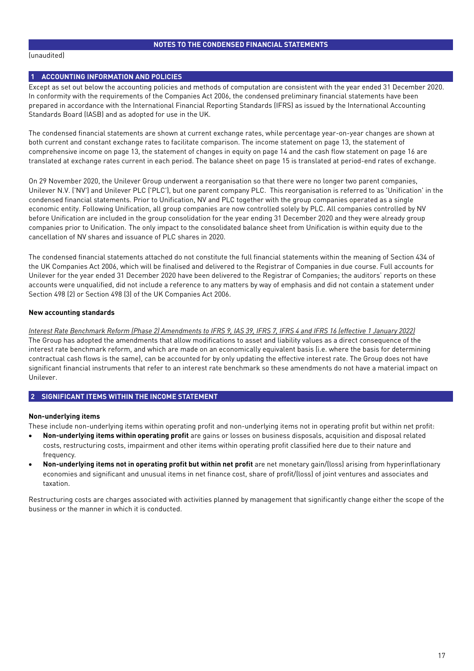#### **1 ACCOUNTING INFORMATION AND POLICIES**

Except as set out below the accounting policies and methods of computation are consistent with the year ended 31 December 2020. In conformity with the requirements of the Companies Act 2006, the condensed preliminary financial statements have been prepared in accordance with the International Financial Reporting Standards (IFRS) as issued by the International Accounting Standards Board (IASB) and as adopted for use in the UK.

The condensed financial statements are shown at current exchange rates, while percentage year-on-year changes are shown at both current and constant exchange rates to facilitate comparison. The income statement on page 13, the statement of comprehensive income on page 13, the statement of changes in equity on page 14 and the cash flow statement on page 16 are translated at exchange rates current in each period. The balance sheet on page 15 is translated at period-end rates of exchange.

On 29 November 2020, the Unilever Group underwent a reorganisation so that there were no longer two parent companies, Unilever N.V. ('NV') and Unilever PLC ('PLC'), but one parent company PLC. This reorganisation is referred to as 'Unification' in the condensed financial statements. Prior to Unification, NV and PLC together with the group companies operated as a single economic entity. Following Unification, all group companies are now controlled solely by PLC. All companies controlled by NV before Unification are included in the group consolidation for the year ending 31 December 2020 and they were already group companies prior to Unification. The only impact to the consolidated balance sheet from Unification is within equity due to the cancellation of NV shares and issuance of PLC shares in 2020.

The condensed financial statements attached do not constitute the full financial statements within the meaning of Section 434 of the UK Companies Act 2006, which will be finalised and delivered to the Registrar of Companies in due course. Full accounts for Unilever for the year ended 31 December 2020 have been delivered to the Registrar of Companies; the auditors' reports on these accounts were unqualified, did not include a reference to any matters by way of emphasis and did not contain a statement under Section 498 (2) or Section 498 (3) of the UK Companies Act 2006.

#### **New accounting standards**

#### *Interest Rate Benchmark Reform (Phase 2) Amendments to IFRS 9, IAS 39, IFRS 7, IFRS 4 and IFRS 16 (effective 1 January 2022)*

The Group has adopted the amendments that allow modifications to asset and liability values as a direct consequence of the interest rate benchmark reform, and which are made on an economically equivalent basis (i.e. where the basis for determining contractual cash flows is the same), can be accounted for by only updating the effective interest rate. The Group does not have significant financial instruments that refer to an interest rate benchmark so these amendments do not have a material impact on Unilever.

#### **2 SIGNIFICANT ITEMS WITHIN THE INCOME STATEMENT**

#### **Non-underlying items**

These include non-underlying items within operating profit and non-underlying items not in operating profit but within net profit:

- **Non-underlying items within operating profit** are gains or losses on business disposals, acquisition and disposal related costs, restructuring costs, impairment and other items within operating profit classified here due to their nature and frequency.
- **Non-underlying items not in operating profit but within net profit** are net monetary gain/(loss) arising from hyperinflationary economies and significant and unusual items in net finance cost, share of profit/(loss) of joint ventures and associates and taxation.

Restructuring costs are charges associated with activities planned by management that significantly change either the scope of the business or the manner in which it is conducted.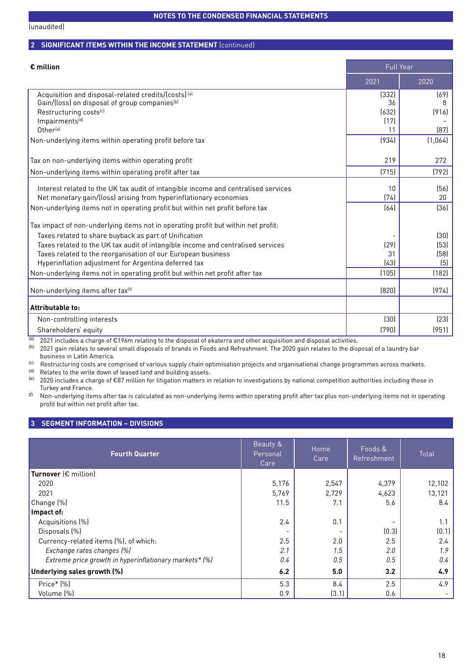# **2 SIGNIFICANT ITEMS WITHIN THE INCOME STATEMENT** (continued)

| $\epsilon$ million                                                                 |            | <b>Full Year</b> |  |
|------------------------------------------------------------------------------------|------------|------------------|--|
|                                                                                    | 2021       | 2020             |  |
| Acquisition and disposal-related credits/(costs) [a]                               | (332)      | (69)             |  |
| Gain/(loss) on disposal of group companies <sup>(b)</sup>                          | 36         | 8                |  |
| Restructuring costs <sup>(c)</sup>                                                 | (632)      | (916)            |  |
| Impairments <sup>[d]</sup><br>Other <sup>(e)</sup>                                 | (17)<br>11 | (87)             |  |
| Non-underlying items within operating profit before tax                            | (934)      | (1,064)          |  |
| Tax on non-underlying items within operating profit                                | 219        | 272              |  |
| Non-underlying items within operating profit after tax                             | (715)      | (792)            |  |
| Interest related to the UK tax audit of intangible income and centralised services | 10         | [56]             |  |
| Net monetary gain/(loss) arising from hyperinflationary economies                  | (74)       | 20               |  |
| Non-underlying items not in operating profit but within net profit before tax      | (64)       | (36)             |  |
|                                                                                    |            |                  |  |
| Tax impact of non-underlying items not in operating profit but within net profit:  |            |                  |  |
| Taxes related to share buyback as part of Unification                              |            | (30)             |  |
| Taxes related to the UK tax audit of intangible income and centralised services    | (29)       | (53)             |  |
| Taxes related to the reorganisation of our European business                       | 31         | (58)             |  |
| Hyperinflation adjustment for Argentina deferred tax                               | (43)       | (5)              |  |
| Non-underlying items not in operating profit but within net profit after tax       | (105)      | (182)            |  |
| Non-underlying items after tax <sup>(f)</sup>                                      | (820)      | (974)            |  |
| Attributable to:                                                                   |            |                  |  |
| Non-controlling interests                                                          | (30)       | $[23]$           |  |
| Shareholders' equity                                                               | (790)      | (951)            |  |

(a) 2021 includes a charge of €196m relating to the disposal of ekaterra and other acquisition and disposal activities.<br>(b) 2021 gain relates to soveral small disposals of brands in Eoods and Petroshment. The 2020 gain

2021 gain relates to several small disposals of brands in Foods and Refreshment. The 2020 gain relates to the disposal of a laundry bar business in Latin America.

<sup>(c)</sup> Restructuring costs are comprised of various supply chain optimisation projects and organisational change programmes across markets.<br><sup>(d)</sup> Relates to the write down of leased land and building assets.

Relates to the write down of leased land and building assets.

(e) 2020 includes a charge of €87 million for litigation matters in relation to investigations by national competition authorities including those in Turkey and France.

 $^{(f)}$  Non-underlying items after tax is calculated as non-underlying items within operating profit after tax plus non-underlying items not in operating profit but within net profit after tax.

# **3 SEGMENT INFORMATION – DIVISIONS**

| <b>Fourth Quarter</b>                                  | Beauty &<br>Personal<br>Care | Home,<br>Care | Foods &<br>Refreshment | Total  |
|--------------------------------------------------------|------------------------------|---------------|------------------------|--------|
| Turnover $(\epsilon$ million)                          |                              |               |                        |        |
| 2020                                                   | 5,176                        | 2,547         | 4,379                  | 12,102 |
| 2021                                                   | 5,769                        | 2,729         | 4,623                  | 13,121 |
| Change (%)                                             | 11.5                         | 7.1           | 5.6                    | 8.4    |
| Impact of:                                             |                              |               |                        |        |
| Acquisitions (%)                                       | 2.4                          | 0.1           |                        | 1.1    |
| Disposals (%)                                          |                              |               | (0.3)                  | (0.1)  |
| Currency-related items (%), of which:                  | 2.5                          | 2.0           | 2.5                    | 2.4    |
| Exchange rates changes (%)                             | 2.1                          | 1.5           | 2.0                    | 1.9    |
| Extreme price growth in hyperinflationary markets* (%) | 0.4                          | 0.5           | 0.5                    | 0.4    |
| Underlying sales growth (%)                            | 6.2                          | 5.0           | 3.2                    | 4.9    |
| Price* (%)                                             | 5.3                          | 8.4           | 2.5                    | 4.9    |
| Volume (%)                                             | 0.9                          | (3.1)         | 0.6                    |        |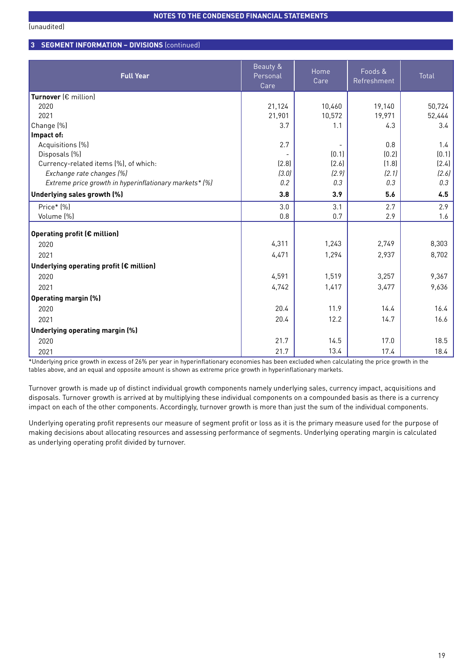**3 SEGMENT INFORMATION – DIVISIONS** (continued)

| <b>Full Year</b>                                       | Beauty &<br>Personal<br>Care | Home<br>Care | Foods &<br>Refreshment | Total  |
|--------------------------------------------------------|------------------------------|--------------|------------------------|--------|
| Turnover $(\epsilon$ million)                          |                              |              |                        |        |
| 2020                                                   | 21,124                       | 10,460       | 19,140                 | 50,724 |
| 2021                                                   | 21,901                       | 10,572       | 19,971                 | 52,444 |
| Change (%)                                             | 3.7                          | 1.1          | 4.3                    | 3.4    |
| Impact of:                                             |                              |              |                        |        |
| Acquisitions (%)                                       | 2.7                          |              | 0.8                    | 1.4    |
| Disposals (%)                                          |                              | [0.1]        | (0.2)                  | (0.1)  |
| Currency-related items (%), of which:                  | (2.8)                        | [2.6]        | (1.8)                  | (2.4)  |
| Exchange rate changes (%)                              | (3.0)                        | (2.9)        | (2.1)                  | (2.6)  |
| Extreme price growth in hyperinflationary markets* (%) | 0.2                          | 0.3          | 0.3                    | 0.3    |
| Underlying sales growth (%)                            | 3.8                          | 3.9          | 5.6                    | 4.5    |
| Price* (%)                                             | 3.0                          | 3.1          | 2.7                    | 2.9    |
| Volume (%)                                             | 0.8                          | 0.7          | 2.9                    | 1.6    |
| Operating profit (€ million)                           |                              |              |                        |        |
| 2020                                                   | 4,311                        | 1,243        | 2,749                  | 8,303  |
| 2021                                                   | 4,471                        | 1,294        | 2,937                  | 8,702  |
| Underlying operating profit (€ million)                |                              |              |                        |        |
| 2020                                                   | 4,591                        | 1,519        | 3,257                  | 9,367  |
| 2021                                                   | 4,742                        | 1,417        | 3,477                  | 9,636  |
| <b>Operating margin (%)</b>                            |                              |              |                        |        |
| 2020                                                   | 20.4                         | 11.9         | 14.4                   | 16.4   |
| 2021                                                   | 20.4                         | 12.2         | 14.7                   | 16.6   |
| Underlying operating margin (%)                        |                              |              |                        |        |
| 2020                                                   | 21.7                         | 14.5         | 17.0                   | 18.5   |
| 2021                                                   | 21.7                         | 13.4         | 17.4                   | 18.4   |

\*Underlying price growth in excess of 26% per year in hyperinflationary economies has been excluded when calculating the price growth in the tables above, and an equal and opposite amount is shown as extreme price growth in hyperinflationary markets.

Turnover growth is made up of distinct individual growth components namely underlying sales, currency impact, acquisitions and disposals. Turnover growth is arrived at by multiplying these individual components on a compounded basis as there is a currency impact on each of the other components. Accordingly, turnover growth is more than just the sum of the individual components.

Underlying operating profit represents our measure of segment profit or loss as it is the primary measure used for the purpose of making decisions about allocating resources and assessing performance of segments. Underlying operating margin is calculated as underlying operating profit divided by turnover.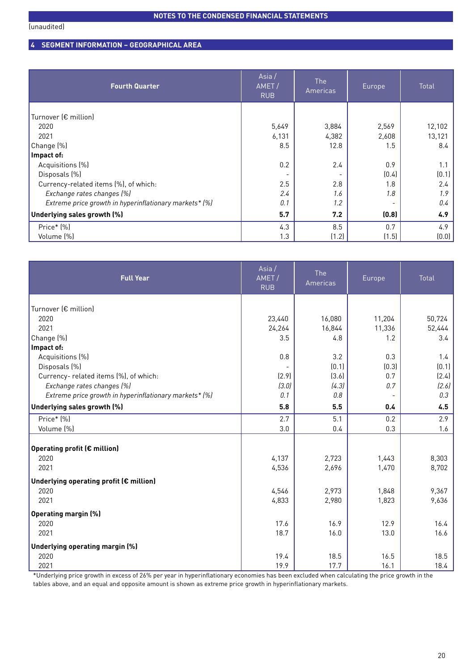# **4 SEGMENT INFORMATION – GEOGRAPHICAL AREA**

| <b>Fourth Quarter</b>                                  | Asia/<br>AMET/<br><b>RUB</b> | The<br>Americas | Europe            | Total   |
|--------------------------------------------------------|------------------------------|-----------------|-------------------|---------|
| Turnover (€ million)                                   |                              |                 |                   |         |
|                                                        |                              |                 |                   |         |
| 2020                                                   | 5,649                        | 3,884           | 2,569             | 12,102  |
| 2021                                                   | 6,131                        | 4,382           | 2,608             | 13,121  |
| Change (%)                                             | 8.5                          | 12.8            | 1.5               | 8.4     |
| Impact of:                                             |                              |                 |                   |         |
| Acquisitions (%)                                       | 0.2                          | 2.4             | 0.9               | 1.1     |
| Disposals (%)                                          |                              |                 | (0.4)             | (0.1)   |
| Currency-related items (%), of which:                  | 2.5                          | 2.8             | 1.8               | $2.4\,$ |
| Exchange rates changes (%)                             | 2.4                          | 1.6             | 1.8               | 1.9     |
| Extreme price growth in hyperinflationary markets* (%) | 0.1                          | 1.2             | $\qquad \qquad -$ | 0.4     |
| Underlying sales growth (%)                            | 5.7                          | 7.2             | (0.8)             | 4.9     |
| Price* (%)                                             | 4.3                          | 8.5             | 0.7               | 4.9     |
| Volume (%)                                             | 1.3                          | (1.2)           | (1.5)             | (0.0)   |

| <b>Full Year</b>                                       | Asia /<br>AMET/<br><b>RUB</b> | The<br>Americas | Europe                   | <b>Total</b>   |
|--------------------------------------------------------|-------------------------------|-----------------|--------------------------|----------------|
|                                                        |                               |                 |                          |                |
| Turnover (€ million)<br>2020                           | 23,440                        | 16,080          | 11,204                   | 50,724         |
| 2021                                                   | 24,264                        | 16,844          | 11,336                   | 52,444         |
| Change (%)                                             | 3.5                           | 4.8             | 1.2                      | 3.4            |
| Impact of:                                             |                               |                 |                          |                |
| Acquisitions (%)                                       | 0.8                           | 3.2             | 0.3                      | 1.4            |
| Disposals (%)                                          |                               | (0.1)           | (0.3)                    | (0.1)          |
| Currency- related items (%), of which:                 | (2.9)                         | (3.6)           | 0.7                      | (2.4)          |
| Exchange rates changes (%)                             | (3.0)                         | (4.3)           | 0.7                      | (2.6)          |
| Extreme price growth in hyperinflationary markets* (%) | 0.1                           | 0.8             | $\overline{\phantom{a}}$ | 0.3            |
| Underlying sales growth (%)                            | 5.8                           | 5.5             | 0.4                      | 4.5            |
| Price* [%]                                             | 2.7                           | 5.1             | 0.2                      | 2.9            |
| Volume (%)                                             | 3.0                           | 0.4             | 0.3                      | 1.6            |
| Operating profit (€ million)<br>2020<br>2021           | 4,137<br>4,536                | 2,723<br>2,696  | 1,443<br>1,470           | 8,303<br>8,702 |
| Underlying operating profit (€ million)                |                               |                 |                          |                |
| 2020                                                   | 4,546                         | 2,973           | 1,848                    | 9,367          |
| 2021                                                   | 4,833                         | 2,980           | 1,823                    | 9,636          |
| <b>Operating margin (%)</b>                            |                               |                 |                          |                |
| 2020                                                   | 17.6                          | 16.9            | 12.9                     | 16.4           |
| 2021                                                   | 18.7                          | 16.0            | 13.0                     | 16.6           |
| Underlying operating margin (%)                        |                               |                 |                          |                |
| 2020                                                   | 19.4                          | 18.5            | 16.5                     | 18.5           |
| 2021                                                   | 19.9                          | 17.7            | 16.1                     | 18.4           |

\*Underlying price growth in excess of 26% per year in hyperinflationary economies has been excluded when calculating the price growth in the tables above, and an equal and opposite amount is shown as extreme price growth in hyperinflationary markets.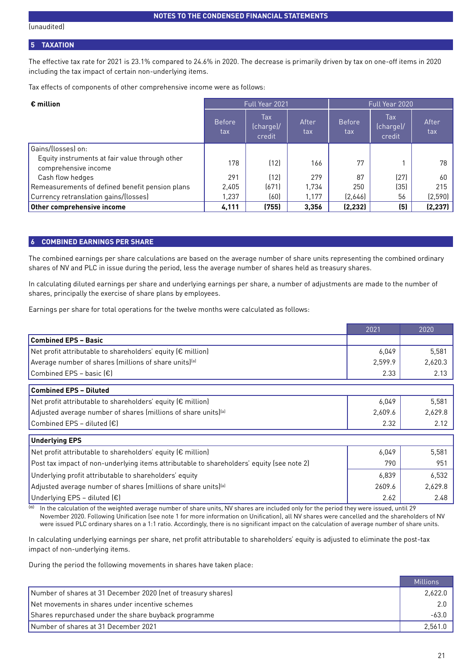# **5 TAXATION**

The effective tax rate for 2021 is 23.1% compared to 24.6% in 2020. The decrease is primarily driven by tax on one-off items in 2020 including the tax impact of certain non-underlying items.

Tax effects of components of other comprehensive income were as follows:

| $\epsilon$ million                                                     |                      | Full Year 2021             |              |                      | Full Year 2020             |              |  |  |
|------------------------------------------------------------------------|----------------------|----------------------------|--------------|----------------------|----------------------------|--------------|--|--|
|                                                                        | <b>Before</b><br>tax | Tax<br>(charge)/<br>credit | After<br>tax | <b>Before</b><br>tax | Tax<br>(charge)/<br>credit | After<br>tax |  |  |
| Gains/(losses) on:                                                     |                      |                            |              |                      |                            |              |  |  |
| Equity instruments at fair value through other<br>comprehensive income | 178                  | (12)                       | 166          | 77                   |                            | 78           |  |  |
| Cash flow hedges                                                       | 291                  | (12)                       | 279          | 87                   | (27)                       | 60           |  |  |
| Remeasurements of defined benefit pension plans                        | 2,405                | (671)                      | 1.734        | 250                  | (35)                       | 215          |  |  |
| Currency retranslation gains/(losses)                                  | ,237                 | (60)                       | 1.177        | (2,646)              | 56                         | (2, 590)     |  |  |
| Other comprehensive income                                             | 4,111                | (755)                      | 3,356        | (2, 232)             | (5)                        | (2, 237)     |  |  |

# **6 COMBINED EARNINGS PER SHARE**

The combined earnings per share calculations are based on the average number of share units representing the combined ordinary shares of NV and PLC in issue during the period, less the average number of shares held as treasury shares.

In calculating diluted earnings per share and underlying earnings per share, a number of adjustments are made to the number of shares, principally the exercise of share plans by employees.

Earnings per share for total operations for the twelve months were calculated as follows:

|                                                                                           | 2021    | 2020    |
|-------------------------------------------------------------------------------------------|---------|---------|
| <b>Combined EPS - Basic</b>                                                               |         |         |
| Net profit attributable to shareholders' equity (€ million)                               | 6,049   | 5,581   |
| Average number of shares (millions of share units)[a]                                     | 2,599.9 | 2,620.3 |
| Combined EPS - basic $(\epsilon)$                                                         | 2.33    | 2.13    |
| <b>Combined EPS - Diluted</b>                                                             |         |         |
| Net profit attributable to shareholders' equity ( $\epsilon$ million)                     | 6,049   | 5,581   |
| Adjusted average number of shares (millions of share units)[a]                            | 2,609.6 | 2,629.8 |
| Combined EPS - diluted $(\epsilon)$                                                       | 2.32    | 2.12    |
| <b>Underlying EPS</b>                                                                     |         |         |
| Net profit attributable to shareholders' equity ( $\epsilon$ million)                     | 6,049   | 5,581   |
| Post tax impact of non-underlying items attributable to shareholders' equity (see note 2) | 790     | 951     |
| Underlying profit attributable to shareholders' equity                                    | 6,839   | 6,532   |
| Adjusted average number of shares (millions of share units)[a]                            | 2609.6  | 2,629.8 |

Underlying EPS – diluted (€)  $2.48$  $\overline{a}$  In the calculation of the weighted average number of share units, NV shares are included only for the period they were issued, until 29 November 2020. Following Unification (see note 1 for more information on Unification), all NV shares were cancelled and the shareholders of NV were issued PLC ordinary shares on a 1:1 ratio. Accordingly, there is no significant impact on the calculation of average number of share units.

In calculating underlying earnings per share, net profit attributable to shareholders' equity is adjusted to eliminate the post-tax impact of non-underlying items.

During the period the following movements in shares have taken place:

|                                                               | Millions |
|---------------------------------------------------------------|----------|
| Number of shares at 31 December 2020 (net of treasury shares) | 2.622.0  |
| Net movements in shares under incentive schemes               |          |
| Shares repurchased under the share buyback programme          | -63.0    |
| Number of shares at 31 December 2021                          | 2.561.0  |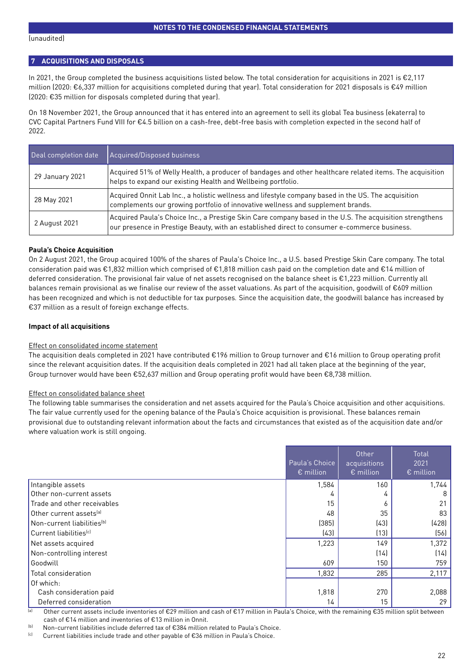#### **7 ACQUISITIONS AND DISPOSALS**

In 2021, the Group completed the business acquisitions listed below. The total consideration for acquisitions in 2021 is €2,117 million (2020: €6,337 million for acquisitions completed during that year). Total consideration for 2021 disposals is €49 million (2020: €35 million for disposals completed during that year).

On 18 November 2021, the Group announced that it has entered into an agreement to sell its global Tea business (ekaterra) to CVC Capital Partners Fund VIII for €4.5 billion on a cash-free, debt-free basis with completion expected in the second half of 2022.

| Deal completion date | Acquired/Disposed business                                                                                                                                                                               |
|----------------------|----------------------------------------------------------------------------------------------------------------------------------------------------------------------------------------------------------|
| 29 January 2021      | Acquired 51% of Welly Health, a producer of bandages and other healthcare related items. The acquisition<br>helps to expand our existing Health and Wellbeing portfolio.                                 |
| 28 May 2021          | Acquired Onnit Lab Inc., a holistic wellness and lifestyle company based in the US. The acquisition<br>complements our growing portfolio of innovative wellness and supplement brands.                   |
| 2 August 2021        | Acquired Paula's Choice Inc., a Prestige Skin Care company based in the U.S. The acquisition strengthens<br>our presence in Prestige Beauty, with an established direct to consumer e-commerce business. |

#### **Paula's Choice Acquisition**

On 2 August 2021, the Group acquired 100% of the shares of Paula's Choice Inc., a U.S. based Prestige Skin Care company. The total consideration paid was €1,832 million which comprised of €1,818 million cash paid on the completion date and €14 million of deferred consideration. The provisional fair value of net assets recognised on the balance sheet is €1,223 million. Currently all balances remain provisional as we finalise our review of the asset valuations. As part of the acquisition, goodwill of €609 million has been recognized and which is not deductible for tax purposes. Since the acquisition date, the goodwill balance has increased by €37 million as a result of foreign exchange effects.

#### **Impact of all acquisitions**

#### Effect on consolidated income statement

The acquisition deals completed in 2021 have contributed €196 million to Group turnover and €16 million to Group operating profit since the relevant acquisition dates. If the acquisition deals completed in 2021 had all taken place at the beginning of the year, Group turnover would have been €52,637 million and Group operating profit would have been €8,738 million.

#### Effect on consolidated balance sheet

The following table summarises the consideration and net assets acquired for the Paula's Choice acquisition and other acquisitions. The fair value currently used for the opening balance of the Paula's Choice acquisition is provisional. These balances remain provisional due to outstanding relevant information about the facts and circumstances that existed as of the acquisition date and/or where valuation work is still ongoing.

|                                     | Paula's Choice<br>$\epsilon$ million | Other<br>acquisitions<br>$\epsilon$ million | Total<br>2021<br>$\epsilon$ million |
|-------------------------------------|--------------------------------------|---------------------------------------------|-------------------------------------|
| Intangible assets                   | 1,584                                | 160                                         | 1,744                               |
| Other non-current assets            | 4                                    | 4                                           | -8                                  |
| Trade and other receivables         | 15                                   | <sub>6</sub>                                | 21                                  |
| Other current assets <sup>(a)</sup> | 48                                   | 35                                          | 83                                  |
| Non-current liabilities(b)          | (385)                                | (43)                                        | (428)                               |
| Current liabilities <sup>(c)</sup>  | (43)                                 | (13)                                        | (56)                                |
| Net assets acquired                 | 1,223                                | 149                                         | 1,372                               |
| Non-controlling interest            |                                      | (14)                                        | (14)                                |
| Goodwill                            | 609                                  | 150                                         | 759                                 |
| Total consideration                 | 1,832                                | 285                                         | 2,117                               |
| Of which:                           |                                      |                                             |                                     |
| Cash consideration paid             | 1,818                                | 270                                         | 2,088                               |
| Deferred consideration              | 14                                   | 15                                          | 29                                  |

(a) Other current assets include inventories of €29 million and cash of €17 million in Paula's Choice, with the remaining €35 million split between cash of €14 million and inventories of €13 million in Onnit.

Non-current liabilities include deferred tax of €384 million related to Paula's Choice.

Current liabilities include trade and other payable of €36 million in Paula's Choice.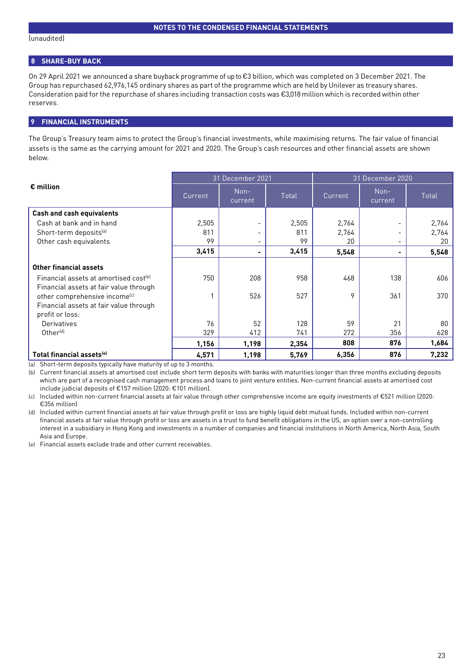#### **8 SHARE-BUY BACK**

On 29 April 2021 we announced a share buyback programme of up to €3 billion, which was completed on 3 December 2021. The Group has repurchased 62,976,145 ordinary shares as part of the programme which are held by Unilever as treasury shares. Consideration paid for the repurchase of shares including transaction costs was €3,018million which is recorded within other reserves.

#### **9 FINANCIAL INSTRUMENTS**

The Group's Treasury team aims to protect the Group's financial investments, while maximising returns. The fair value of financial assets is the same as the carrying amount for 2021 and 2020. The Group's cash resources and other financial assets are shown below.

|                                                                                     |         | 31 December 2021         |       |         | 31 December 2020         |       |
|-------------------------------------------------------------------------------------|---------|--------------------------|-------|---------|--------------------------|-------|
| $\epsilon$ million                                                                  | Current | Non-<br>current          | Total | Current | Non-<br>current          | Total |
| <b>Cash and cash equivalents</b>                                                    |         |                          |       |         |                          |       |
| Cash at bank and in hand                                                            | 2,505   | $\overline{\phantom{a}}$ | 2,505 | 2,764   |                          | 2,764 |
| Short-term deposits <sup>[a]</sup>                                                  | 811     | $\overline{\phantom{a}}$ | 811   | 2,764   |                          | 2,764 |
| Other cash equivalents                                                              | 99      | $\overline{\phantom{a}}$ | 99    | 20      | -                        | 20    |
|                                                                                     | 3,415   | $\overline{\phantom{a}}$ | 3,415 | 5,548   | $\overline{\phantom{0}}$ | 5,548 |
| Other financial assets                                                              |         |                          |       |         |                          |       |
| Financial assets at amortised cost <sup>(b)</sup>                                   | 750     | 208                      | 958   | 468     | 138                      | 606   |
| Financial assets at fair value through<br>other comprehensive income <sup>(c)</sup> |         | 526                      | 527   | 9       | 361                      | 370   |
| Financial assets at fair value through<br>profit or loss:                           |         |                          |       |         |                          |       |
| Derivatives                                                                         | 76      | 52                       | 128   | 59      | 21                       | 80    |
| Other <sup>[d]</sup>                                                                | 329     | 412                      | 741   | 272     | 356                      | 628   |
|                                                                                     | 1,156   | 1,198                    | 2,354 | 808     | 876                      | 1,684 |
| Total financial assets <sup>(e)</sup>                                               | 4,571   | 1,198                    | 5,769 | 6,356   | 876                      | 7,232 |

(a) Short-term deposits typically have maturity of up to 3 months.

(b) Current financial assets at amortised cost include short term deposits with banks with maturities longer than three months excluding deposits which are part of a recognised cash management process and loans to joint venture entities. Non-current financial assets at amortised cost include judicial deposits of €157 million (2020: €101 million).

(c) Included within non-current financial assets at fair value through other comprehensive income are equity investments of €521 million (2020: €356 million)

(d) Included within current financial assets at fair value through profit or loss are highly liquid debt mutual funds. Included within non-current financial assets at fair value through profit or loss are assets in a trust to fund benefit obligations in the US, an option over a non-controlling interest in a subsidiary in Hong Kong and investments in a number of companies and financial institutions in North America, North Asia, South Asia and Europe.

(e) Financial assets exclude trade and other current receivables.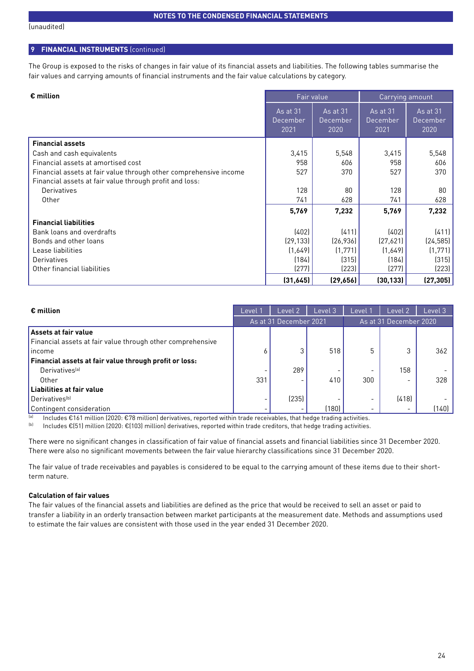# **9 FINANCIAL INSTRUMENTS** (continued)

The Group is exposed to the risks of changes in fair value of its financial assets and liabilities. The following tables summarise the fair values and carrying amounts of financial instruments and the fair value calculations by category.

| $\epsilon$ million                                                | Fair value                          |                                     | Carrying amount              |                                     |
|-------------------------------------------------------------------|-------------------------------------|-------------------------------------|------------------------------|-------------------------------------|
|                                                                   | <b>As at 31</b><br>December<br>2021 | <b>As at 31</b><br>December<br>2020 | As at 31<br>December<br>2021 | <b>As at 31</b><br>December<br>2020 |
| <b>Financial assets</b>                                           |                                     |                                     |                              |                                     |
| Cash and cash equivalents                                         | 3,415                               | 5,548                               | 3,415                        | 5,548                               |
| Financial assets at amortised cost                                | 958                                 | 606                                 | 958                          | 606                                 |
| Financial assets at fair value through other comprehensive income | 527                                 | 370                                 | 527                          | 370                                 |
| Financial assets at fair value through profit and loss:           |                                     |                                     |                              |                                     |
| Derivatives                                                       | 128                                 | 80                                  | 128                          | 80                                  |
| Other                                                             | 741                                 | 628                                 | 741                          | 628                                 |
|                                                                   | 5,769                               | 7,232                               | 5,769                        | 7,232                               |
| <b>Financial liabilities</b>                                      |                                     |                                     |                              |                                     |
| Bank loans and overdrafts                                         | (402)                               | (411)                               | (402)                        | (411)                               |
| Bonds and other loans                                             | [29, 133]                           | (26, 936)                           | (27,621)                     | (24, 585)                           |
| Lease liabilities                                                 | (1,649)                             | (1.771)                             | (1,649)                      | (1.771)                             |
| Derivatives                                                       | (184)                               | (315)                               | (184)                        | (315)                               |
| Other financial liabilities                                       | (277)                               | (223)                               | (277)                        | (223)                               |
|                                                                   | (31, 645)                           | (29, 656)                           | (30, 133)                    | (27, 305)                           |

| $\epsilon$ million                                            | Level | Level 2                | Level 3 | Level 1 | Level 2                | Level 3 |  |
|---------------------------------------------------------------|-------|------------------------|---------|---------|------------------------|---------|--|
|                                                               |       | As at 31 December 2021 |         |         | As at 31 December 2020 |         |  |
| Assets at fair value                                          |       |                        |         |         |                        |         |  |
| Financial assets at fair value through other comprehensive    |       |                        |         |         |                        |         |  |
| lincome                                                       |       | 3                      | 518     |         | C                      | 362     |  |
| <b>Financial assets at fair value through profit or loss:</b> |       |                        |         |         |                        |         |  |
| Derivatives <sup>[a]</sup>                                    |       | 289                    |         |         | 158                    |         |  |
| Other                                                         | 331   |                        | 410     | 300     |                        | 328     |  |
| Liabilities at fair value                                     |       |                        |         |         |                        |         |  |
| Derivatives <sup>[b]</sup>                                    |       | (235)                  |         |         | (418)                  |         |  |
| Contingent consideration                                      |       |                        | (180)   |         |                        | (140)   |  |

(a) Includes €161 million (2020: €78 million) derivatives, reported within trade receivables, that hedge trading activities.<br>(b) Includes €1511 million (2020: €1103) million) derivatives, reported within trade creditors,

Includes €(51) million (2020: €(103) million) derivatives, reported within trade creditors, that hedge trading activities.

There were no significant changes in classification of fair value of financial assets and financial liabilities since 31 December 2020. There were also no significant movements between the fair value hierarchy classifications since 31 December 2020.

The fair value of trade receivables and payables is considered to be equal to the carrying amount of these items due to their shortterm nature.

#### **Calculation of fair values**

The fair values of the financial assets and liabilities are defined as the price that would be received to sell an asset or paid to transfer a liability in an orderly transaction between market participants at the measurement date. Methods and assumptions used to estimate the fair values are consistent with those used in the year ended 31 December 2020.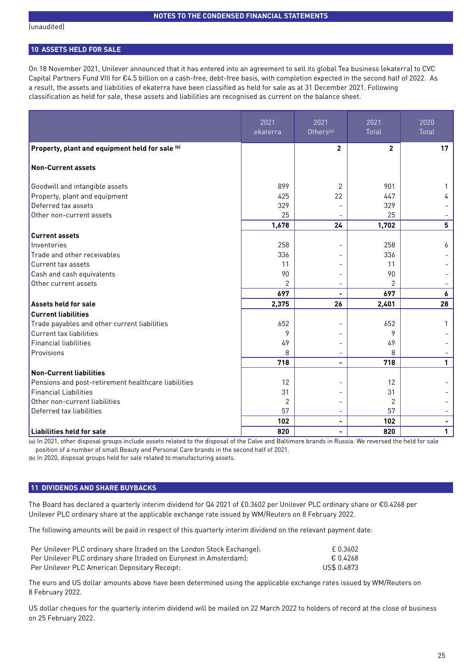# **10 ASSETS HELD FOR SALE**

On 18 November 2021, Unilever announced that it has entered into an agreement to sell its global Tea business (ekaterra) to CVC Capital Partners Fund VIII for €4.5 billion on a cash-free, debt-free basis, with completion expected in the second half of 2022. As a result, the assets and liabilities of ekaterra have been classified as held for sale as at 31 December 2021. Following classification as held for sale, these assets and liabilities are recognised as current on the balance sheet.

|                                                     | 2021     | 2021                  | 2021           | 2020         |
|-----------------------------------------------------|----------|-----------------------|----------------|--------------|
|                                                     | ekaterra | Others <sup>(a)</sup> | Total          | Total        |
| Property, plant and equipment held for sale (b)     |          | $\overline{2}$        | $\overline{2}$ | 17           |
| <b>Non-Current assets</b>                           |          |                       |                |              |
| Goodwill and intangible assets                      | 899      | $\overline{2}$        | 901            |              |
| Property, plant and equipment                       | 425      | 22                    | 447            | 4            |
| Deferred tax assets                                 | 329      |                       | 329            |              |
| Other non-current assets                            | 25       |                       | 25             |              |
|                                                     | 1,678    | 24                    | 1,702          | 5            |
| <b>Current assets</b>                               |          |                       |                |              |
| Inventories                                         | 258      |                       | 258            | 6            |
| Trade and other receivables                         | 336      |                       | 336            |              |
| <b>Current tax assets</b>                           | 11       |                       | 11             |              |
| Cash and cash equivalents                           | 90       |                       | 90             |              |
| Other current assets                                | 2        |                       | 2              |              |
|                                                     | 697      | -                     | 697            | 6            |
| <b>Assets held for sale</b>                         | 2,375    | 26                    | 2,401          | 28           |
| <b>Current liabilities</b>                          |          |                       |                |              |
| Trade payables and other current liabilities        | 652      |                       | 652            |              |
| Current tax liabilities                             | 9        |                       | 9              |              |
| <b>Financial liabilities</b>                        | 49       |                       | 49             |              |
| Provisions                                          | 8        |                       | 8              |              |
|                                                     | 718      | $\overline{a}$        | 718            | $\mathbf{1}$ |
| <b>Non-Current liabilities</b>                      |          |                       |                |              |
| Pensions and post-retirement healthcare liabilities | 12       |                       | 12             |              |
| <b>Financial Liabilities</b>                        | 31       |                       | 31             |              |
| Other non-current liabilities                       | 2        |                       | 2              |              |
| Deferred tax liabilities                            | 57       |                       | 57             |              |
|                                                     | 102      |                       | 102            |              |
| <b>Liabilities held for sale</b>                    | 820      |                       | 820            | 1            |

(a) In 2021, other disposal groups include assets related to the disposal of the Calve and Baltimore brands in Russia. We reversed the held for sale position of a number of small Beauty and Personal Care brands in the second half of 2021.

(b) In 2020, disposal groups held for sale related to manufacturing assets.

#### **11 DIVIDENDS AND SHARE BUYBACKS**

The Board has declared a quarterly interim dividend for Q4 2021 of £0.3602 per Unilever PLC ordinary share or €0.4268 per Unilever PLC ordinary share at the applicable exchange rate issued by WM/Reuters on 8 February 2022.

The following amounts will be paid in respect of this quarterly interim dividend on the relevant payment date:

| Per Unilever PLC ordinary share (traded on the London Stock Exchange): | f 0.3602    |
|------------------------------------------------------------------------|-------------|
| Per Unilever PLC ordinary share (traded on Euronext in Amsterdam):     | €. Ո.4268   |
| Per Unilever PLC American Depositary Receipt:                          | US\$ 0.4873 |

The euro and US dollar amounts above have been determined using the applicable exchange rates issued by WM/Reuters on 8 February 2022.

US dollar cheques for the quarterly interim dividend will be mailed on 22 March 2022 to holders of record at the close of business on 25 February 2022.